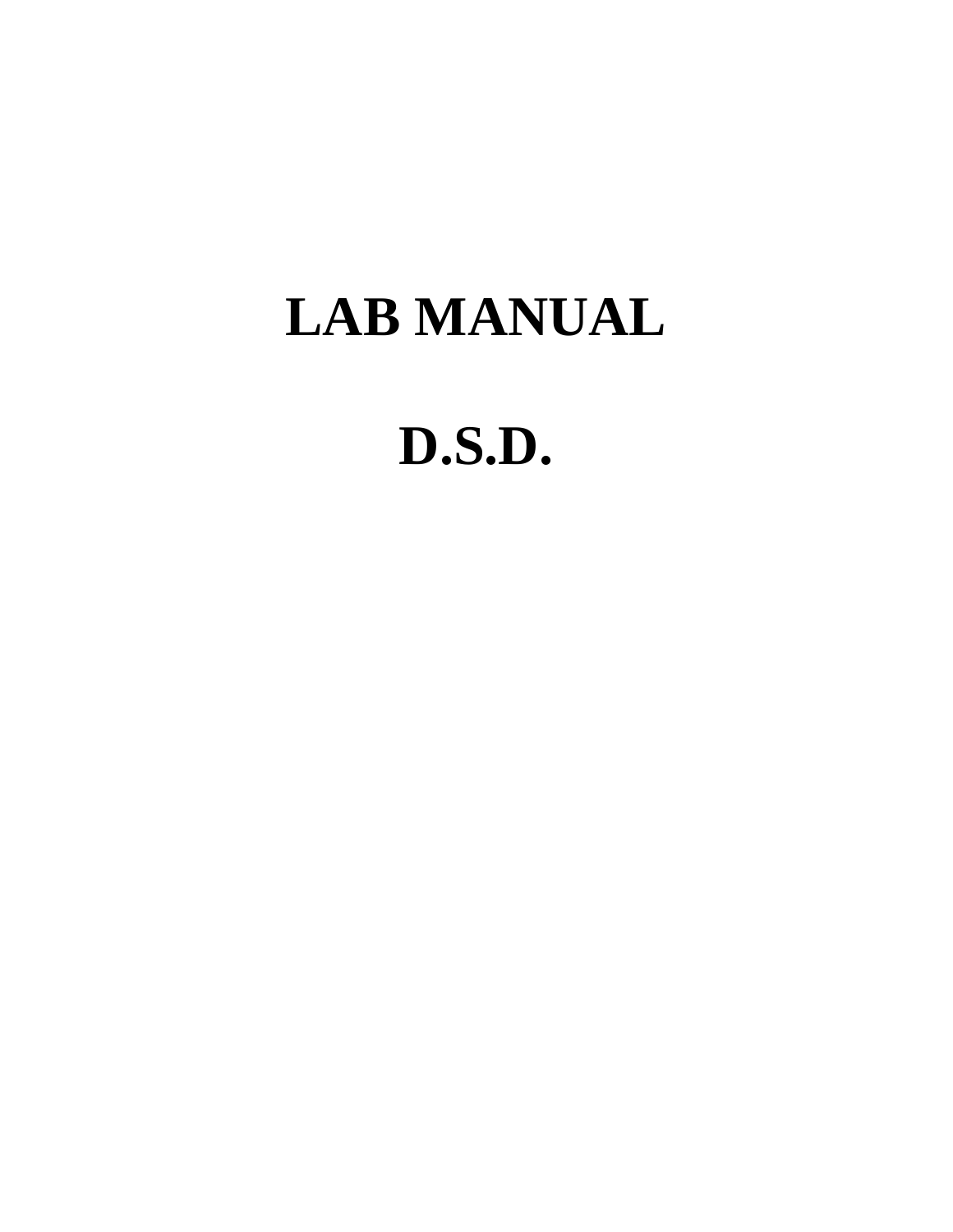# **LAB MANUAL**

# **D.S.D.**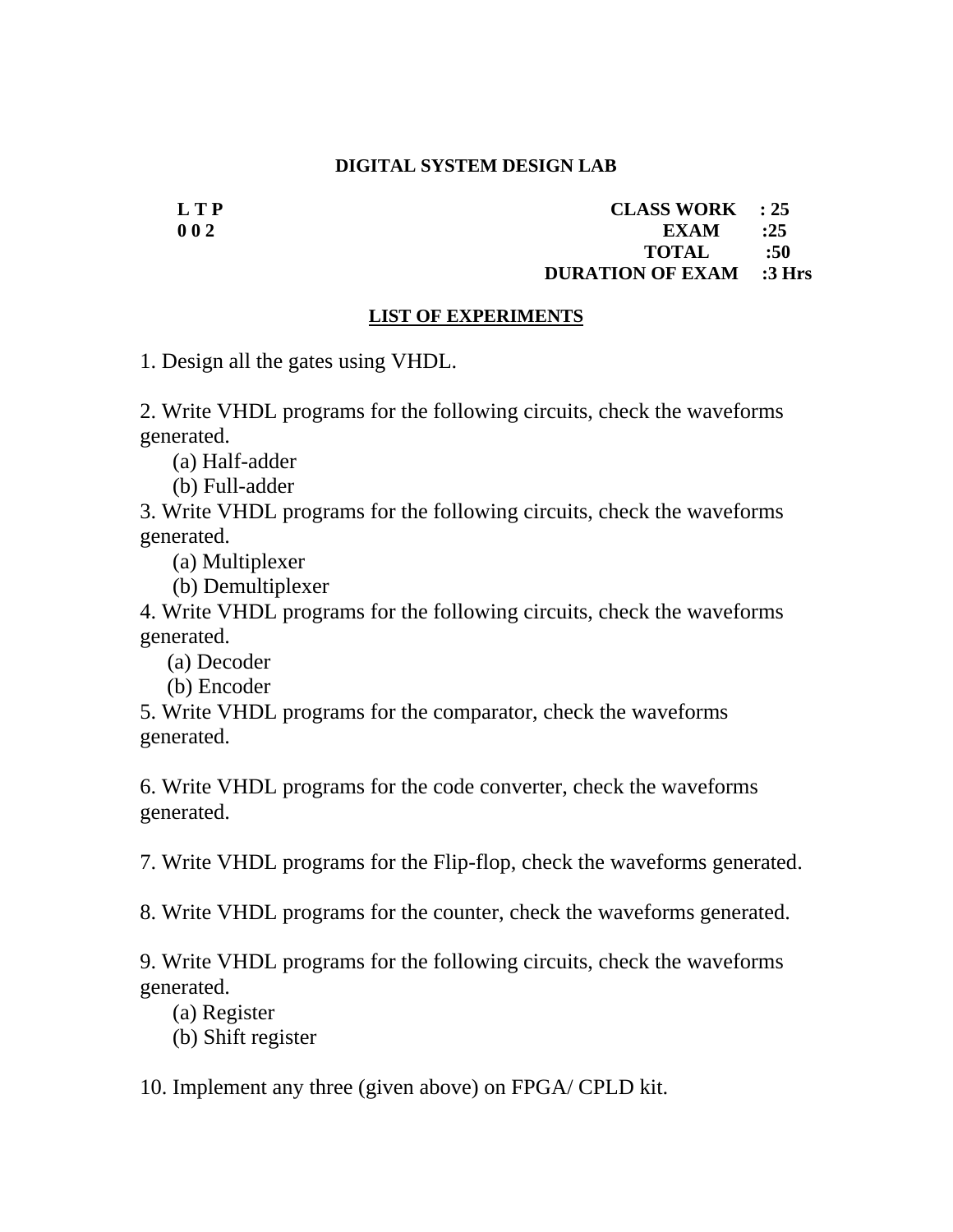#### **DIGITAL SYSTEM DESIGN LAB**

**LTP CLASS WORK** : 25 **0 0 2** EXAM :25  **TOTAL :50 DURATION OF EXAM :3 Hrs** 

#### **LIST OF EXPERIMENTS**

1. Design all the gates using VHDL.

2. Write VHDL programs for the following circuits, check the waveforms generated.

(a) Half-adder

(b) Full-adder

3. Write VHDL programs for the following circuits, check the waveforms generated.

(a) Multiplexer

(b) Demultiplexer

4. Write VHDL programs for the following circuits, check the waveforms generated.

(a) Decoder

(b) Encoder

5. Write VHDL programs for the comparator, check the waveforms generated.

6. Write VHDL programs for the code converter, check the waveforms generated.

7. Write VHDL programs for the Flip-flop, check the waveforms generated.

8. Write VHDL programs for the counter, check the waveforms generated.

9. Write VHDL programs for the following circuits, check the waveforms generated.

(a) Register

(b) Shift register

10. Implement any three (given above) on FPGA/ CPLD kit.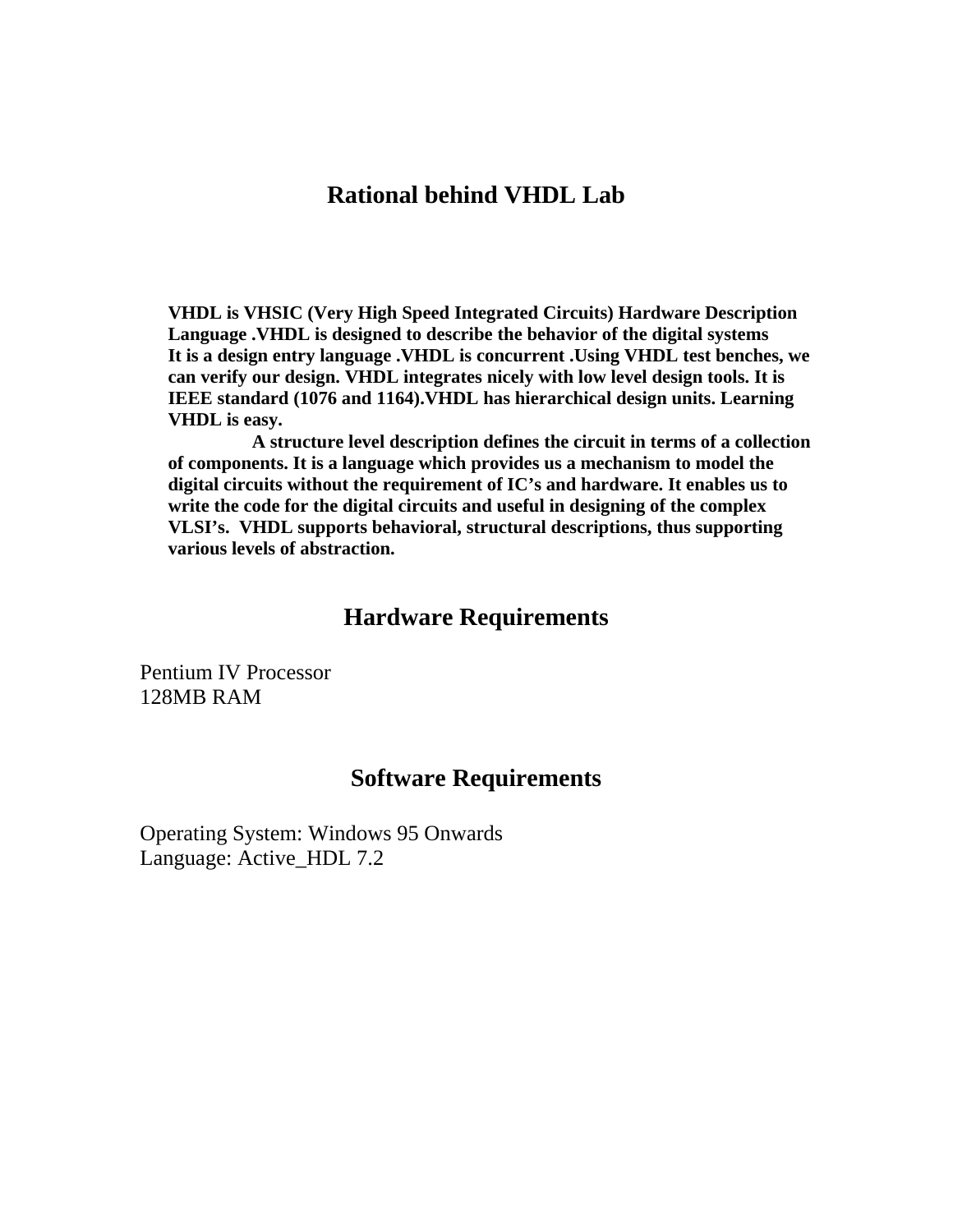#### **Rational behind VHDL Lab**

**VHDL is VHSIC (Very High Speed Integrated Circuits) Hardware Description Language .VHDL is designed to describe the behavior of the digital systems It is a design entry language .VHDL is concurrent .Using VHDL test benches, we can verify our design. VHDL integrates nicely with low level design tools. It is IEEE standard (1076 and 1164).VHDL has hierarchical design units. Learning VHDL is easy.** 

 **A structure level description defines the circuit in terms of a collection of components. It is a language which provides us a mechanism to model the digital circuits without the requirement of IC's and hardware. It enables us to write the code for the digital circuits and useful in designing of the complex VLSI's. VHDL supports behavioral, structural descriptions, thus supporting various levels of abstraction.** 

#### **Hardware Requirements**

Pentium IV Processor 128MB RAM

#### **Software Requirements**

Operating System: Windows 95 Onwards Language: Active\_HDL 7.2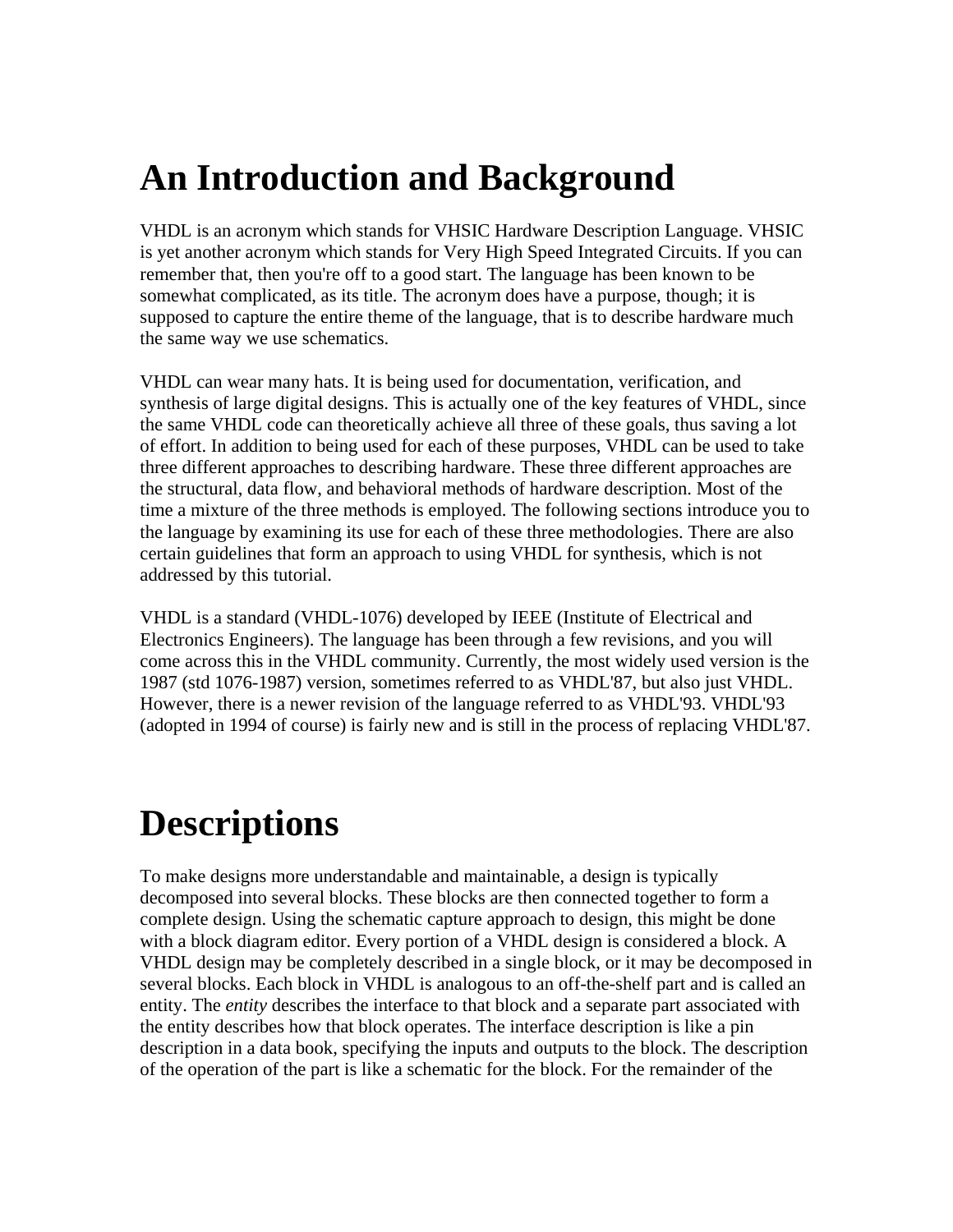## **An Introduction and Background**

VHDL is an acronym which stands for VHSIC Hardware Description Language. VHSIC is yet another acronym which stands for Very High Speed Integrated Circuits. If you can remember that, then you're off to a good start. The language has been known to be somewhat complicated, as its title. The acronym does have a purpose, though; it is supposed to capture the entire theme of the language, that is to describe hardware much the same way we use schematics.

VHDL can wear many hats. It is being used for documentation, verification, and synthesis of large digital designs. This is actually one of the key features of VHDL, since the same VHDL code can theoretically achieve all three of these goals, thus saving a lot of effort. In addition to being used for each of these purposes, VHDL can be used to take three different approaches to describing hardware. These three different approaches are the structural, data flow, and behavioral methods of hardware description. Most of the time a mixture of the three methods is employed. The following sections introduce you to the language by examining its use for each of these three methodologies. There are also certain guidelines that form an approach to using VHDL for synthesis, which is not addressed by this tutorial.

VHDL is a standard (VHDL-1076) developed by IEEE (Institute of Electrical and Electronics Engineers). The language has been through a few revisions, and you will come across this in the VHDL community. Currently, the most widely used version is the 1987 (std 1076-1987) version, sometimes referred to as VHDL'87, but also just VHDL. However, there is a newer revision of the language referred to as VHDL'93. VHDL'93 (adopted in 1994 of course) is fairly new and is still in the process of replacing VHDL'87.

# **Descriptions**

To make designs more understandable and maintainable, a design is typically decomposed into several blocks. These blocks are then connected together to form a complete design. Using the schematic capture approach to design, this might be done with a block diagram editor. Every portion of a VHDL design is considered a block. A VHDL design may be completely described in a single block, or it may be decomposed in several blocks. Each block in VHDL is analogous to an off-the-shelf part and is called an entity. The *entity* describes the interface to that block and a separate part associated with the entity describes how that block operates. The interface description is like a pin description in a data book, specifying the inputs and outputs to the block. The description of the operation of the part is like a schematic for the block. For the remainder of the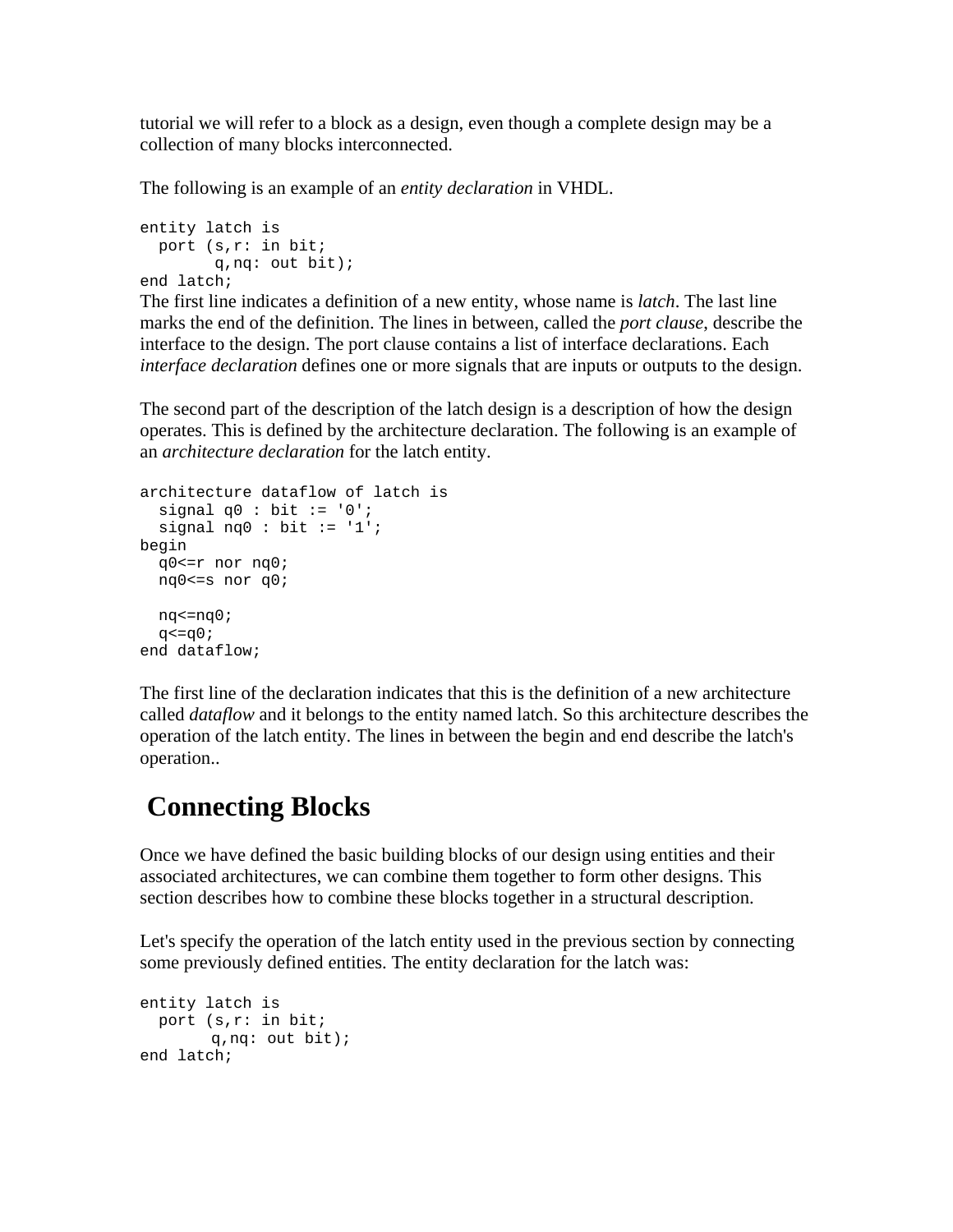tutorial we will refer to a block as a design, even though a complete design may be a collection of many blocks interconnected.

The following is an example of an *entity declaration* in VHDL.

```
entity latch is 
  port (s,r: in bit; 
         q,nq: out bit); 
end latch;
```
The first line indicates a definition of a new entity, whose name is *latch*. The last line marks the end of the definition. The lines in between, called the *port clause*, describe the interface to the design. The port clause contains a list of interface declarations. Each *interface declaration* defines one or more signals that are inputs or outputs to the design.

The second part of the description of the latch design is a description of how the design operates. This is defined by the architecture declaration. The following is an example of an *architecture declaration* for the latch entity.

```
architecture dataflow of latch is 
  signal q0 : bit := '0';signal nq0 : bit := '1';
begin 
  q0<=r nor nq0; 
  nq0<=s nor q0; 
  nq<=nq0; 
 q < = q0;
end dataflow;
```
The first line of the declaration indicates that this is the definition of a new architecture called *dataflow* and it belongs to the entity named latch. So this architecture describes the operation of the latch entity. The lines in between the begin and end describe the latch's operation..

### **Connecting Blocks**

Once we have defined the basic building blocks of our design using entities and their associated architectures, we can combine them together to form other designs. This section describes how to combine these blocks together in a structural description.

Let's specify the operation of the latch entity used in the previous section by connecting some previously defined entities. The entity declaration for the latch was:

```
entity latch is 
  port (s,r: in bit; 
        q,nq: out bit); 
end latch;
```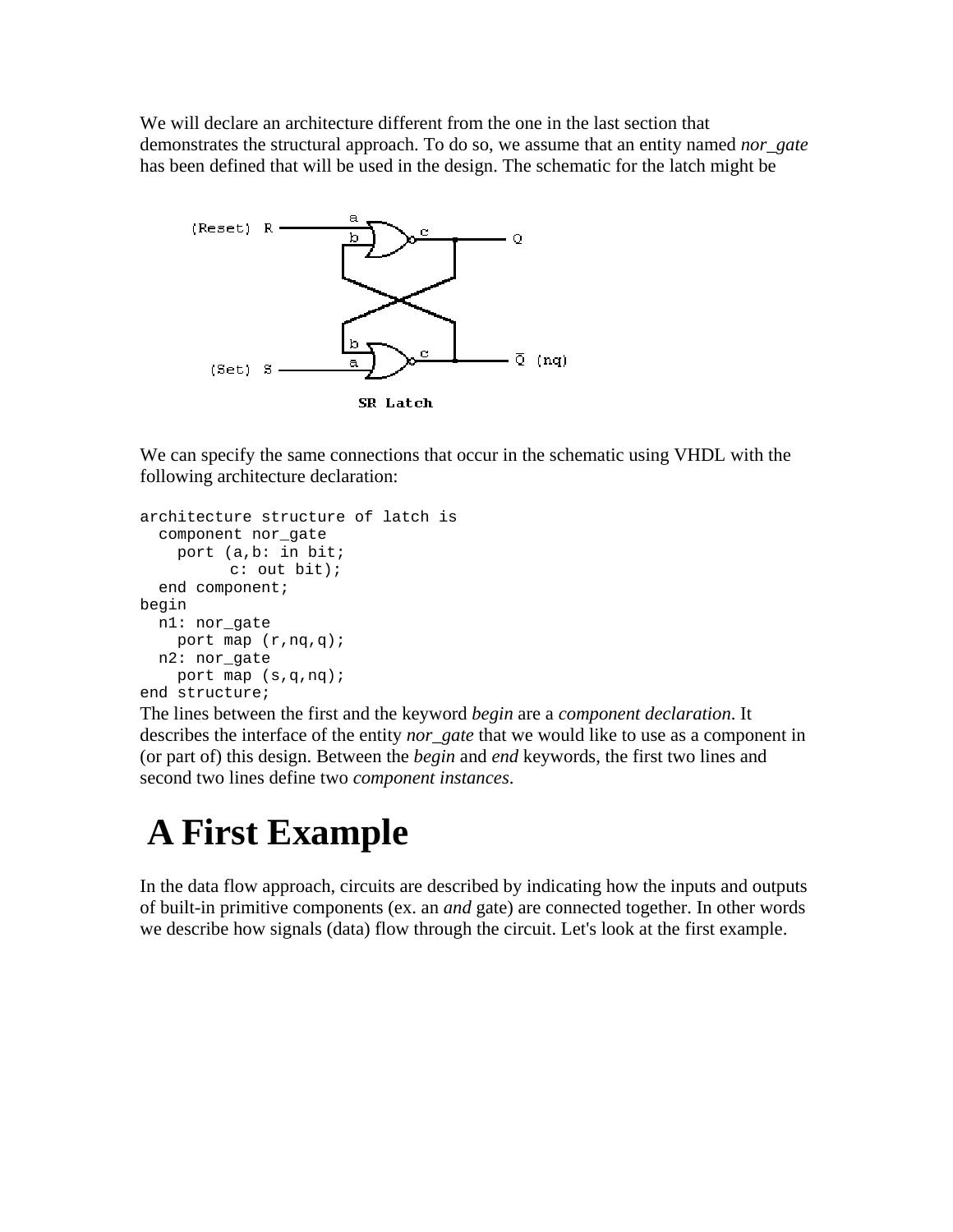We will declare an architecture different from the one in the last section that demonstrates the structural approach. To do so, we assume that an entity named *nor\_gate* has been defined that will be used in the design. The schematic for the latch might be



We can specify the same connections that occur in the schematic using VHDL with the following architecture declaration:

```
architecture structure of latch is 
   component nor_gate 
     port (a,b: in bit; 
           c: out bit); 
   end component; 
begin 
  n1: nor_gate 
    port map (r, nq, q);
  n2: nor_gate 
     port map (s,q,nq); 
end structure;
```
The lines between the first and the keyword *begin* are a *component declaration*. It describes the interface of the entity *nor\_gate* that we would like to use as a component in (or part of) this design. Between the *begin* and *end* keywords, the first two lines and second two lines define two *component instances*.

## **A First Example**

In the data flow approach, circuits are described by indicating how the inputs and outputs of built-in primitive components (ex. an *and* gate) are connected together. In other words we describe how signals (data) flow through the circuit. Let's look at the first example.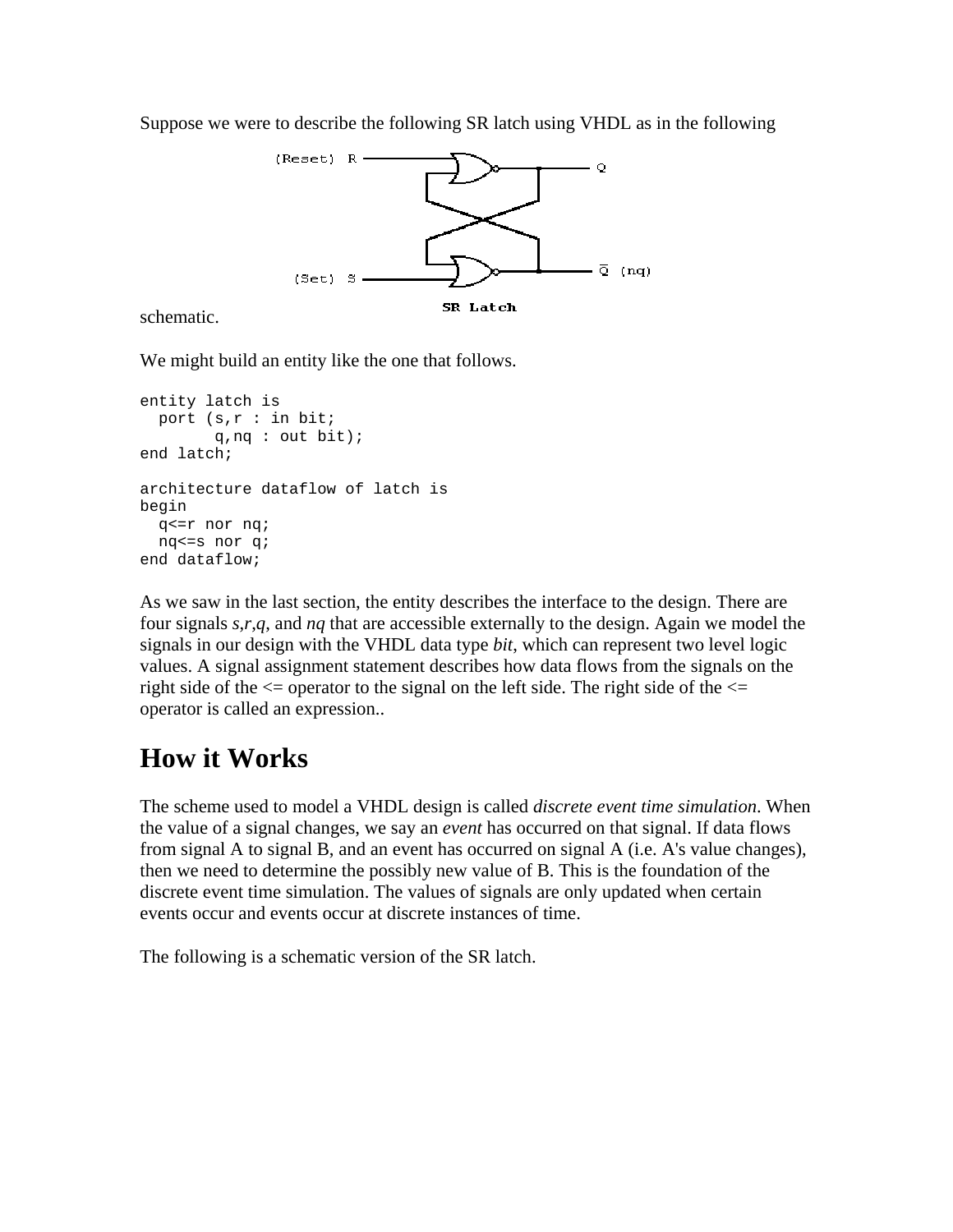Suppose we were to describe the following SR latch using VHDL as in the following



#### schematic.

We might build an entity like the one that follows.

```
entity latch is 
  port (s,r : in bit; 
         q,nq : out bit); 
end latch; 
architecture dataflow of latch is 
begin 
   q<=r nor nq; 
  nq<=s nor q; 
end dataflow;
```
As we saw in the last section, the entity describes the interface to the design. There are four signals *s*,*r*,*q*, and *nq* that are accessible externally to the design. Again we model the signals in our design with the VHDL data type *bit*, which can represent two level logic values. A signal assignment statement describes how data flows from the signals on the right side of the  $\leq$  operator to the signal on the left side. The right side of the  $\leq$ operator is called an expression..

### **How it Works**

The scheme used to model a VHDL design is called *discrete event time simulation*. When the value of a signal changes, we say an *event* has occurred on that signal. If data flows from signal A to signal B, and an event has occurred on signal A (i.e. A's value changes), then we need to determine the possibly new value of B. This is the foundation of the discrete event time simulation. The values of signals are only updated when certain events occur and events occur at discrete instances of time.

The following is a schematic version of the SR latch.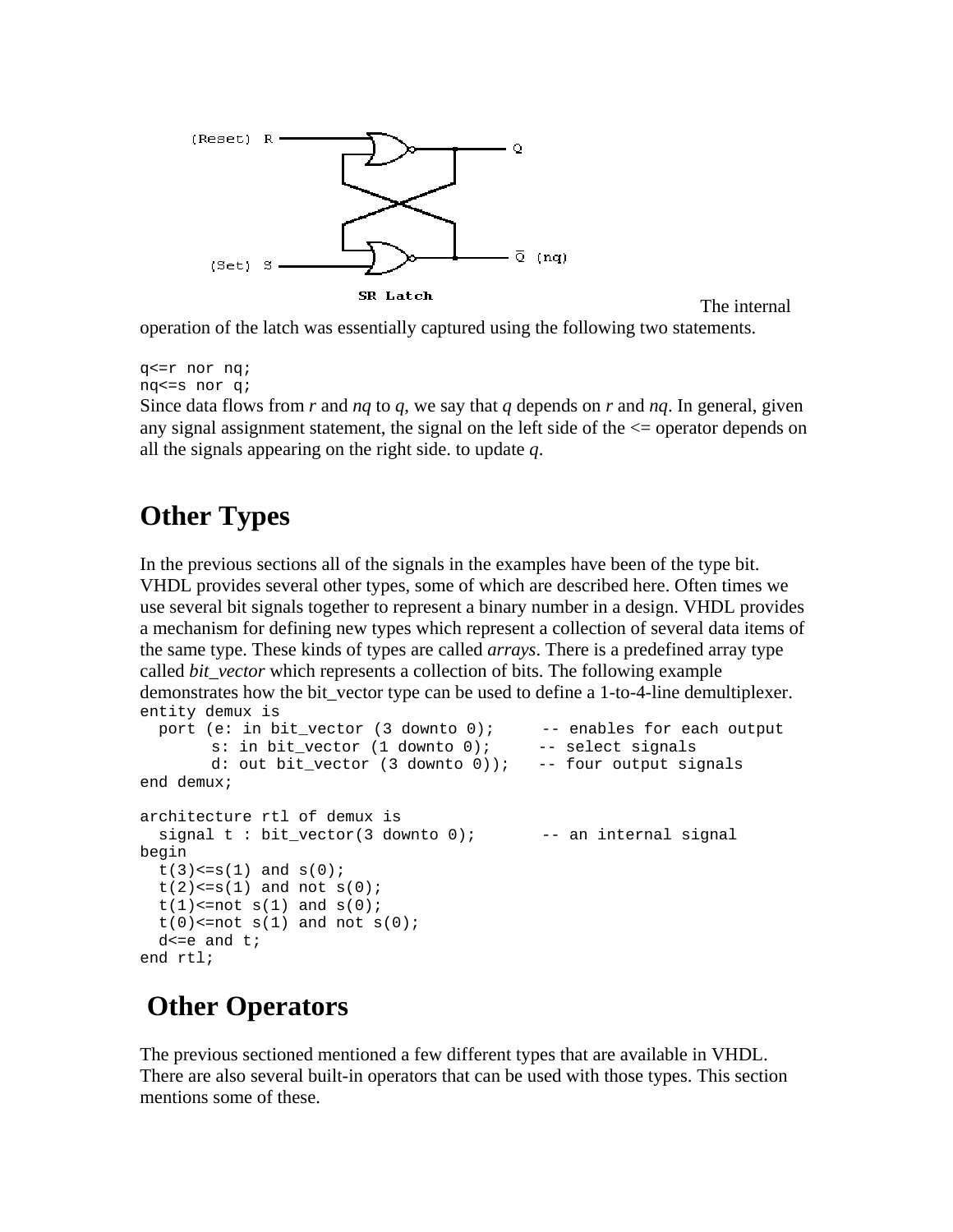

The internal

operation of the latch was essentially captured using the following two statements.

```
q<=r nor nq; 
nq<=s nor q;
```
Since data flows from *r* and *nq* to *q*, we say that *q* depends on *r* and *nq*. In general, given any signal assignment statement, the signal on the left side of the  $\leq$  operator depends on all the signals appearing on the right side. to update *q*.

## **Other Types**

In the previous sections all of the signals in the examples have been of the type bit. VHDL provides several other types, some of which are described here. Often times we use several bit signals together to represent a binary number in a design. VHDL provides a mechanism for defining new types which represent a collection of several data items of the same type. These kinds of types are called *arrays*. There is a predefined array type called *bit\_vector* which represents a collection of bits. The following example demonstrates how the bit\_vector type can be used to define a 1-to-4-line demultiplexer. entity demux is

```
port (e: in bit_vector (3 downto 0); -- enables for each output
       s: in bit_vector (1 downto 0); -- select signals
       d: out bit vector (3 downto 0)); -- four output signals
end demux; 
architecture rtl of demux is 
 signal t : bit\_vector(3 down to 0); -- an internal signal
begin 
 t(3) \le s(1) and s(0);
 t(2) \leq s(1) and not s(0);
 t(1) <=not s(1) and s(0);
 t(0) <=not s(1) and not s(0);
 d \leq e and t;
end rtl;
```
## **Other Operators**

The previous sectioned mentioned a few different types that are available in VHDL. There are also several built-in operators that can be used with those types. This section mentions some of these.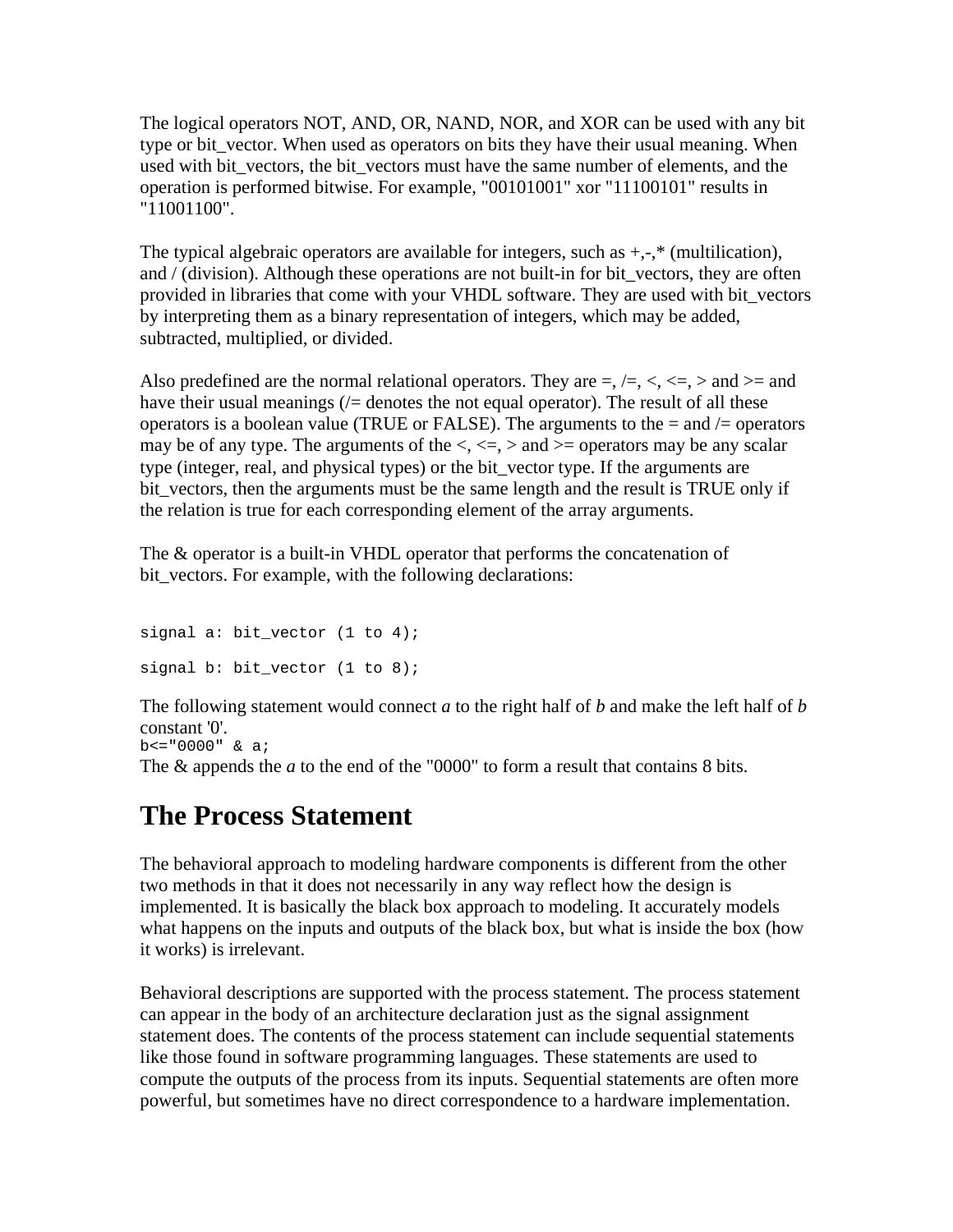The logical operators NOT, AND, OR, NAND, NOR, and XOR can be used with any bit type or bit\_vector. When used as operators on bits they have their usual meaning. When used with bit\_vectors, the bit\_vectors must have the same number of elements, and the operation is performed bitwise. For example, "00101001" xor "11100101" results in "11001100".

The typical algebraic operators are available for integers, such as  $+,-$ ,  $*$  (multilication), and / (division). Although these operations are not built-in for bit vectors, they are often provided in libraries that come with your VHDL software. They are used with bit\_vectors by interpreting them as a binary representation of integers, which may be added, subtracted, multiplied, or divided.

Also predefined are the normal relational operators. They are  $=$ ,  $/=$ ,  $\lt$ ,  $\lt$  $=$ ,  $>$  and  $>$ = and have their usual meanings  $\ell$  denotes the not equal operator). The result of all these operators is a boolean value (TRUE or FALSE). The arguments to the  $=$  and  $/=$  operators may be of any type. The arguments of the  $\lt$ ,  $\lt$  =,  $>$  and  $\gt$  = operators may be any scalar type (integer, real, and physical types) or the bit\_vector type. If the arguments are bit vectors, then the arguments must be the same length and the result is TRUE only if the relation is true for each corresponding element of the array arguments.

The & operator is a built-in VHDL operator that performs the concatenation of bit vectors. For example, with the following declarations:

```
signal a: bit_vector (1 to 4); 
signal b: bit_vector (1 to 8);
```
The following statement would connect *a* to the right half of *b* and make the left half of *b* constant '0'. b<="0000" & a;

The & appends the *a* to the end of the "0000" to form a result that contains 8 bits.

## **The Process Statement**

The behavioral approach to modeling hardware components is different from the other two methods in that it does not necessarily in any way reflect how the design is implemented. It is basically the black box approach to modeling. It accurately models what happens on the inputs and outputs of the black box, but what is inside the box (how it works) is irrelevant.

Behavioral descriptions are supported with the process statement. The process statement can appear in the body of an architecture declaration just as the signal assignment statement does. The contents of the process statement can include sequential statements like those found in software programming languages. These statements are used to compute the outputs of the process from its inputs. Sequential statements are often more powerful, but sometimes have no direct correspondence to a hardware implementation.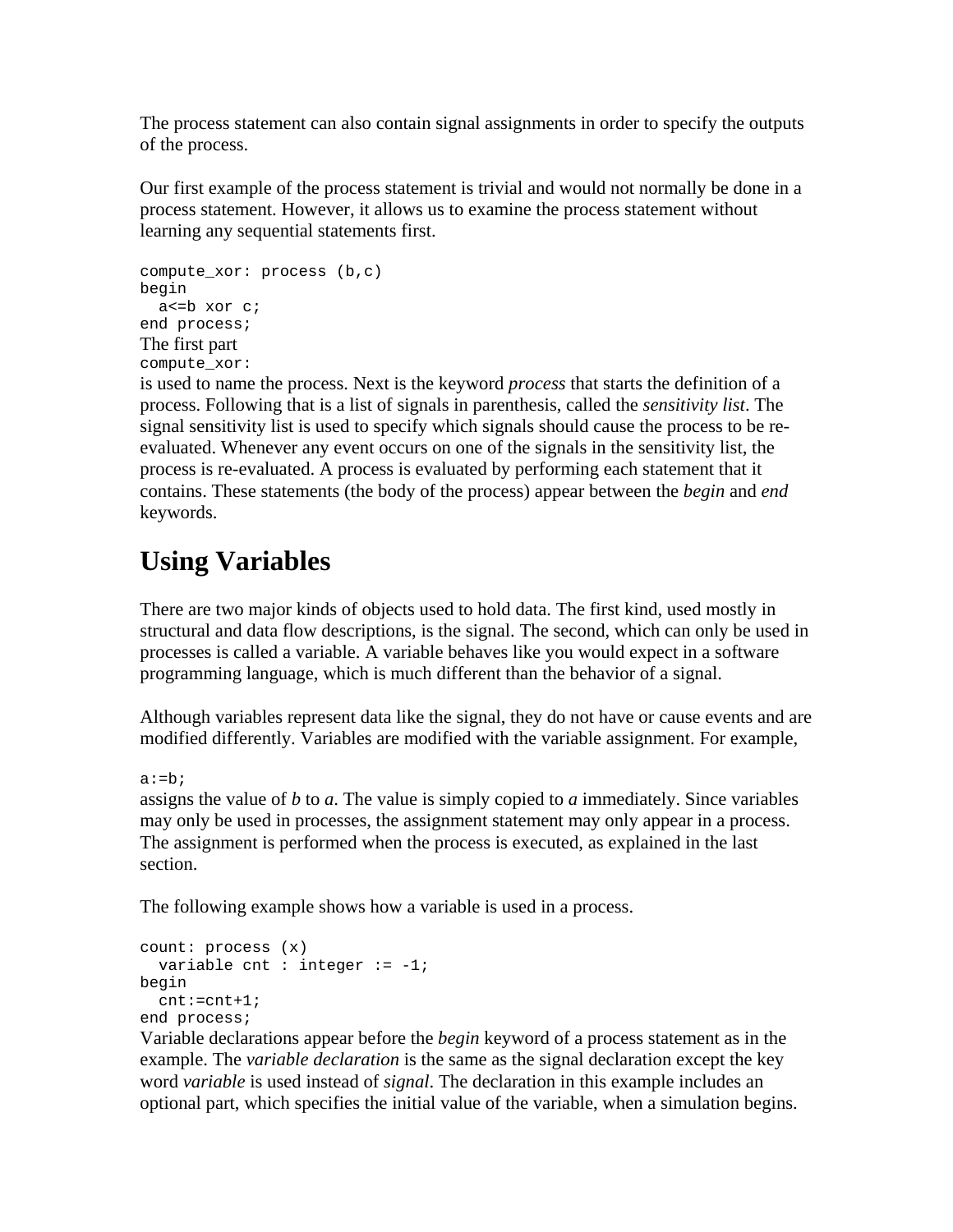The process statement can also contain signal assignments in order to specify the outputs of the process.

Our first example of the process statement is trivial and would not normally be done in a process statement. However, it allows us to examine the process statement without learning any sequential statements first.

```
compute_xor: process (b,c) 
begin 
   a<=b xor c; 
end process; 
The first part 
compute_xor:
```
is used to name the process. Next is the keyword *process* that starts the definition of a process. Following that is a list of signals in parenthesis, called the *sensitivity list*. The signal sensitivity list is used to specify which signals should cause the process to be reevaluated. Whenever any event occurs on one of the signals in the sensitivity list, the process is re-evaluated. A process is evaluated by performing each statement that it contains. These statements (the body of the process) appear between the *begin* and *end* keywords.

## **Using Variables**

There are two major kinds of objects used to hold data. The first kind, used mostly in structural and data flow descriptions, is the signal. The second, which can only be used in processes is called a variable. A variable behaves like you would expect in a software programming language, which is much different than the behavior of a signal.

Although variables represent data like the signal, they do not have or cause events and are modified differently. Variables are modified with the variable assignment. For example,

 $a:=b;$ 

assigns the value of *b* to *a*. The value is simply copied to *a* immediately. Since variables may only be used in processes, the assignment statement may only appear in a process. The assignment is performed when the process is executed, as explained in the last section.

The following example shows how a variable is used in a process.

```
count: process (x) 
  variable cnt : integer := -1;begin 
  cnt:=cnt+1; 
end process;
```
Variable declarations appear before the *begin* keyword of a process statement as in the example. The *variable declaration* is the same as the signal declaration except the key word *variable* is used instead of *signal*. The declaration in this example includes an optional part, which specifies the initial value of the variable, when a simulation begins.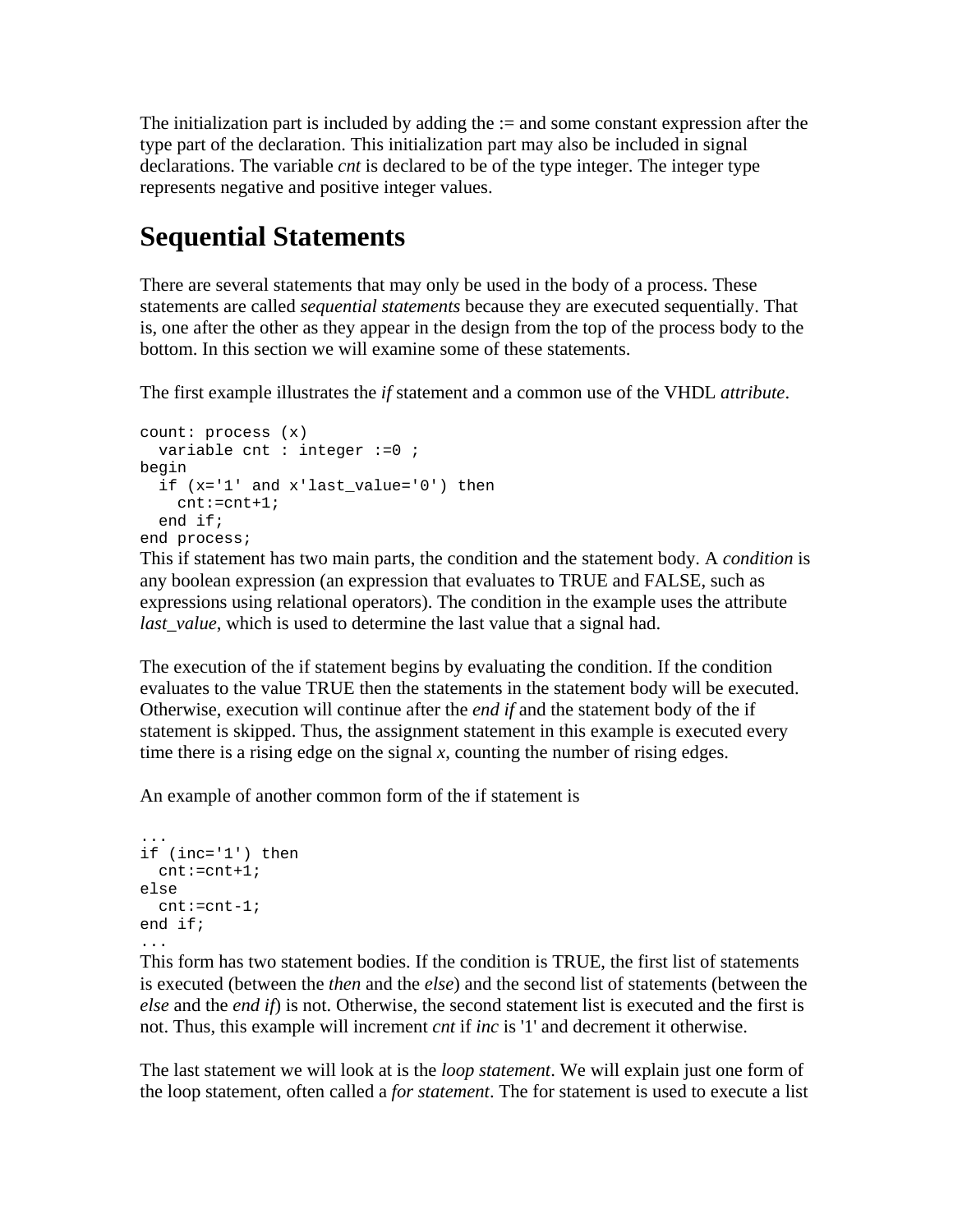The initialization part is included by adding the  $:=$  and some constant expression after the type part of the declaration. This initialization part may also be included in signal declarations. The variable *cnt* is declared to be of the type integer. The integer type represents negative and positive integer values.

## **Sequential Statements**

There are several statements that may only be used in the body of a process. These statements are called *sequential statements* because they are executed sequentially. That is, one after the other as they appear in the design from the top of the process body to the bottom. In this section we will examine some of these statements.

The first example illustrates the *if* statement and a common use of the VHDL *attribute*.

```
count: process (x) 
  variable cnt : integer := 0 ;
begin 
   if (x='1' and x'last_value='0') then 
     cnt:=cnt+1; 
   end if; 
end process;
```
This if statement has two main parts, the condition and the statement body. A *condition* is any boolean expression (an expression that evaluates to TRUE and FALSE, such as expressions using relational operators). The condition in the example uses the attribute *last\_value*, which is used to determine the last value that a signal had.

The execution of the if statement begins by evaluating the condition. If the condition evaluates to the value TRUE then the statements in the statement body will be executed. Otherwise, execution will continue after the *end if* and the statement body of the if statement is skipped. Thus, the assignment statement in this example is executed every time there is a rising edge on the signal *x*, counting the number of rising edges.

An example of another common form of the if statement is

```
... 
if (inc='1') then 
  cnt:=cnt+1; 
else 
  cnt:=cnt-1; 
end if;
```
...

This form has two statement bodies. If the condition is TRUE, the first list of statements is executed (between the *then* and the *else*) and the second list of statements (between the *else* and the *end if*) is not. Otherwise, the second statement list is executed and the first is not. Thus, this example will increment *cnt* if *inc* is '1' and decrement it otherwise.

The last statement we will look at is the *loop statement*. We will explain just one form of the loop statement, often called a *for statement*. The for statement is used to execute a list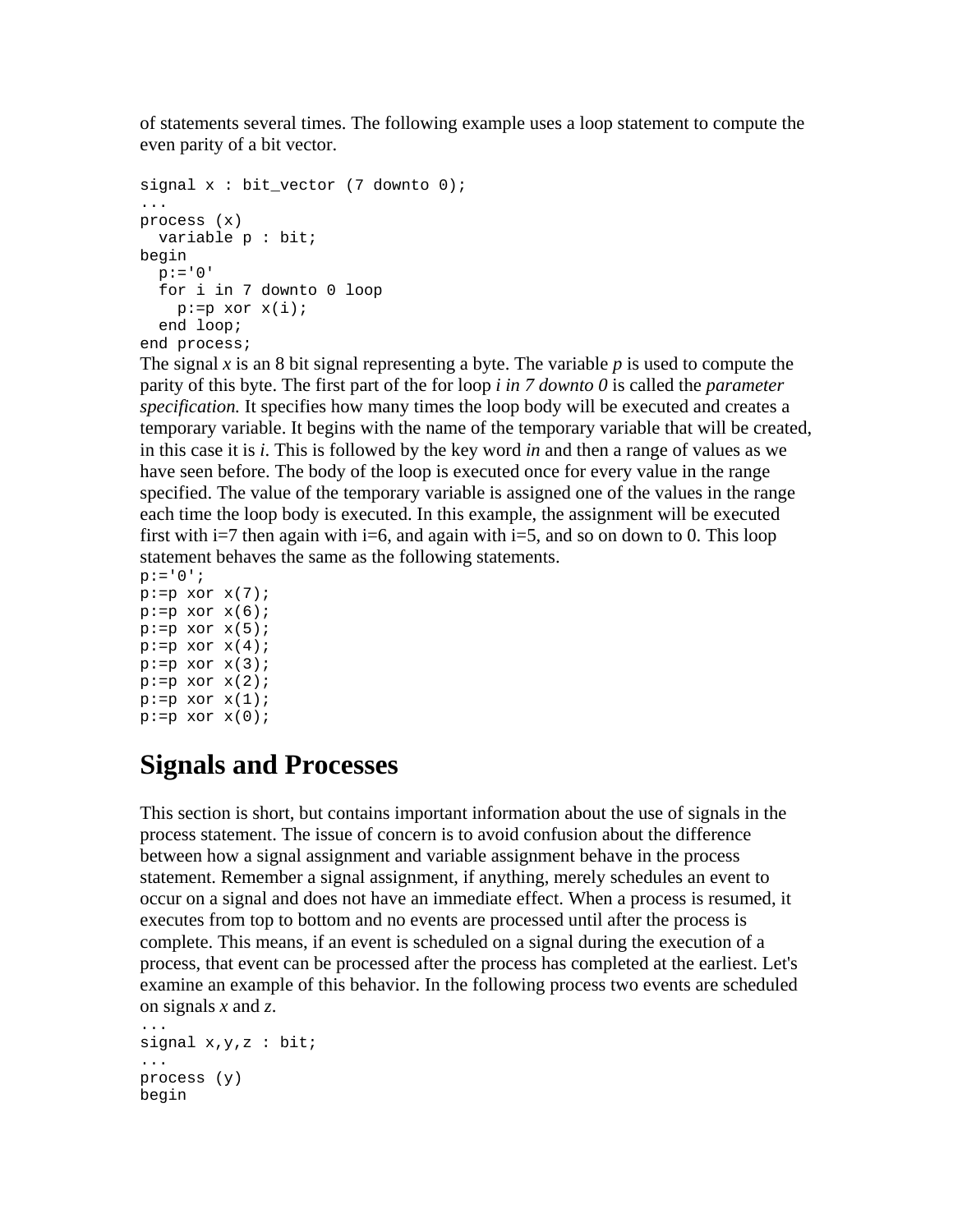of statements several times. The following example uses a loop statement to compute the even parity of a bit vector.

```
signal x : bit vector (7 down to 0);... 
process (x) 
  variable p : bit; 
begin 
 p := '0' for i in 7 downto 0 loop 
    p:=p x or x(i); end loop; 
end process;
```
The signal *x* is an 8 bit signal representing a byte. The variable *p* is used to compute the parity of this byte. The first part of the for loop *i in 7 downto 0* is called the *parameter specification.* It specifies how many times the loop body will be executed and creates a temporary variable. It begins with the name of the temporary variable that will be created, in this case it is *i*. This is followed by the key word *in* and then a range of values as we have seen before. The body of the loop is executed once for every value in the range specified. The value of the temporary variable is assigned one of the values in the range each time the loop body is executed. In this example, the assignment will be executed first with i=7 then again with i=6, and again with i=5, and so on down to 0. This loop statement behaves the same as the following statements.

```
p := '0';
p:=p x or x(7);p:=p x or x(6);p:=p xor x(5);
p:=p x or x(4);p:=p x or x(3);p:=p x or x(2);p:=p x or x(1);p:=p xor x(0);
```
### **Signals and Processes**

This section is short, but contains important information about the use of signals in the process statement. The issue of concern is to avoid confusion about the difference between how a signal assignment and variable assignment behave in the process statement. Remember a signal assignment, if anything, merely schedules an event to occur on a signal and does not have an immediate effect. When a process is resumed, it executes from top to bottom and no events are processed until after the process is complete. This means, if an event is scheduled on a signal during the execution of a process, that event can be processed after the process has completed at the earliest. Let's examine an example of this behavior. In the following process two events are scheduled on signals *x* and *z*.

```
... 
signal x,y,z : bit;
... 
process (y) 
begin
```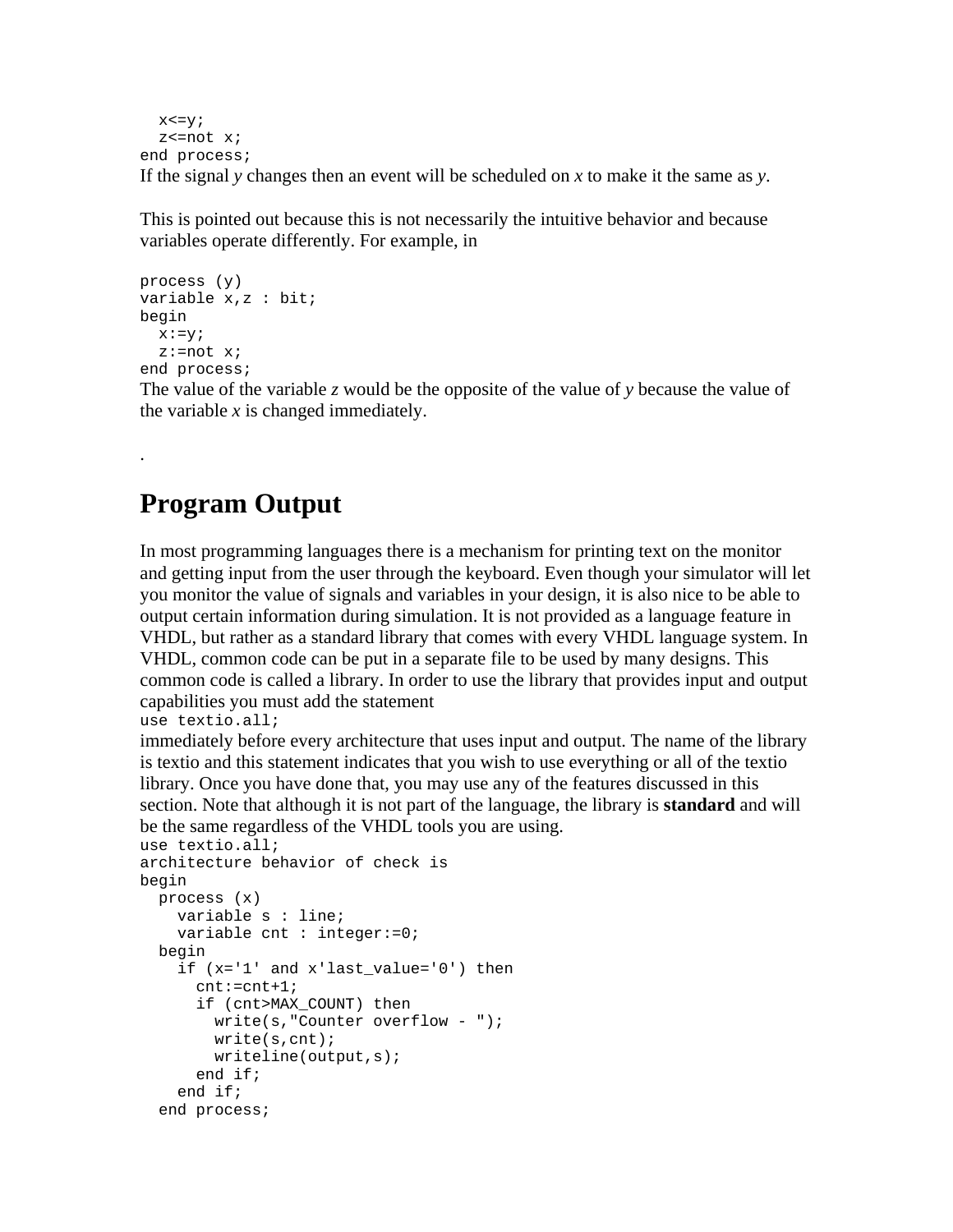```
x \le y; z<=not x; 
end process; 
If the signal y changes then an event will be scheduled on x to make it the same as y.
```
This is pointed out because this is not necessarily the intuitive behavior and because variables operate differently. For example, in

```
process (y) 
variable x,z : bit; 
begin 
 x:=y; z:=not x; 
end process;
```
The value of the variable *z* would be the opposite of the value of *y* because the value of the variable *x* is changed immediately.

## **Program Output**

.

In most programming languages there is a mechanism for printing text on the monitor and getting input from the user through the keyboard. Even though your simulator will let you monitor the value of signals and variables in your design, it is also nice to be able to output certain information during simulation. It is not provided as a language feature in VHDL, but rather as a standard library that comes with every VHDL language system. In VHDL, common code can be put in a separate file to be used by many designs. This common code is called a library. In order to use the library that provides input and output capabilities you must add the statement

```
use textio.all;
```
immediately before every architecture that uses input and output. The name of the library is textio and this statement indicates that you wish to use everything or all of the textio library. Once you have done that, you may use any of the features discussed in this section. Note that although it is not part of the language, the library is **standard** and will be the same regardless of the VHDL tools you are using.

```
use textio.all; 
architecture behavior of check is 
begin 
  process (x) 
     variable s : line; 
     variable cnt : integer:=0; 
  begin 
     if (x='1' and x'last_value='0') then 
       cnt:=cnt+1; 
       if (cnt>MAX_COUNT) then 
         write(s,"Counter overflow - "); 
         write(s,cnt); 
         writeline(output,s); 
       end if; 
     end if; 
   end process;
```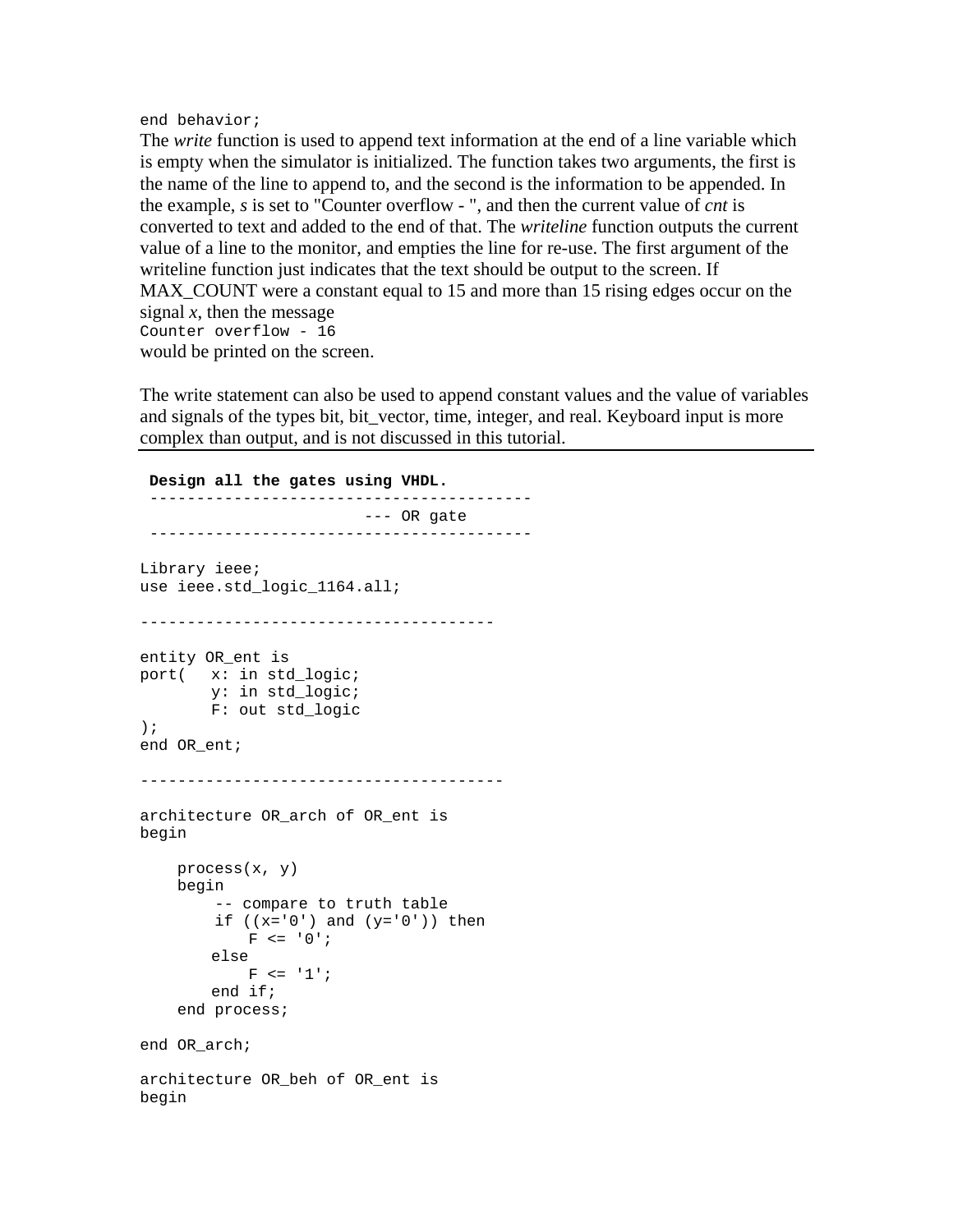#### end behavior;

The *write* function is used to append text information at the end of a line variable which is empty when the simulator is initialized. The function takes two arguments, the first is the name of the line to append to, and the second is the information to be appended. In the example, *s* is set to "Counter overflow - ", and then the current value of *cnt* is converted to text and added to the end of that. The *writeline* function outputs the current value of a line to the monitor, and empties the line for re-use. The first argument of the writeline function just indicates that the text should be output to the screen. If MAX\_COUNT were a constant equal to 15 and more than 15 rising edges occur on the signal *x*, then the message Counter overflow - 16 would be printed on the screen.

The write statement can also be used to append constant values and the value of variables and signals of the types bit, bit\_vector, time, integer, and real. Keyboard input is more complex than output, and is not discussed in this tutorial.

```
 Design all the gates using VHDL.
  ----------------------------------------- 
                           --- OR gate 
  ----------------------------------------- 
Library ieee; 
use ieee.std logic 1164.all;
-------------------------------------- 
entity OR_ent is 
port( x: in std_logic; 
       y: in std_logic; 
        F: out std_logic 
); 
end OR_ent; 
--------------------------------------- 
architecture OR_arch of OR_ent is 
begin 
     process(x, y) 
     begin 
         -- compare to truth table 
        if ((x='0')) and (y='0')) then
            F \leq 0';
         else 
           F \leq 1';
         end if; 
     end process; 
end OR_arch; 
architecture OR_beh of OR_ent is 
begin
```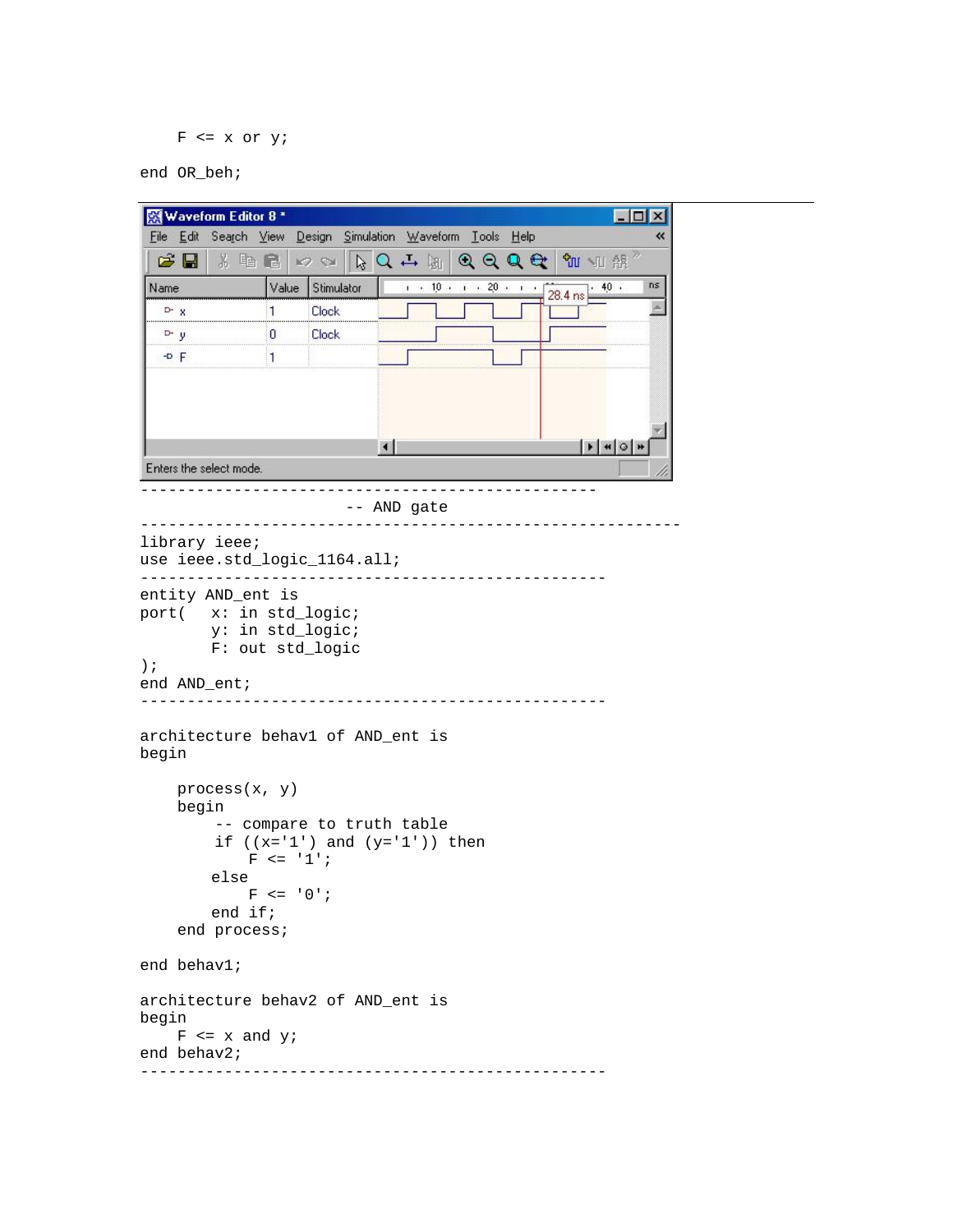```
F \leq x or y;
```
end OR\_beh;

```
Waveform Editor 8 *
                                                                                  \Boxo\mathbf{x}File Edit Search View Design Simulation Waveform Tools Help
                                                                                         \overline{\textbf{K}}\begin{picture}(150,10) \put(0,0){\line(1,0){10}} \put(15,0){\line(1,0){10}} \put(15,0){\line(1,0){10}} \put(15,0){\line(1,0){10}} \put(15,0){\line(1,0){10}} \put(15,0){\line(1,0){10}} \put(15,0){\line(1,0){10}} \put(15,0){\line(1,0){10}} \put(15,0){\line(1,0){10}} \put(15,0){\line(1,0){10}} \put(15,0){\line(1,0){10}} \put(15,0){\line(°™ № 無
                                                       QQQQi = 10 + 10 + 20 + 10nsName
                      Value Stimulator
                                                                               40.28.4 ns
                                                                                        \mathbb AD - X\overline{1}Clock
   D - y\overline{\mathbf{0}}Clock
   -0 F
                      \blacksquare| \bullet | \bullet | \circ |Enters the select mode.
 ------------------------------------------------- 
                                    -- AND gate 
---------------------------------------------------------- 
library ieee; 
use ieee.std_logic_1164.all; 
-------------------------------------------------- 
entity AND_ent is 
port( x: in std_logic; 
             y: in std_logic; 
            F: out std_logic 
); 
end AND_ent; 
-------------------------------------------------- 
architecture behav1 of AND_ent is 
begin 
       process(x, y) 
       begin 
             -- compare to truth table 
            if ((x='1') and (y='1')) then
                  F \leq -1';
             else 
                  F \leq 0';
             end if; 
       end process; 
end behav1; 
architecture behav2 of AND_ent is 
begin 
     F \le x and y;
end behav2; 
 --------------------------------------------------
```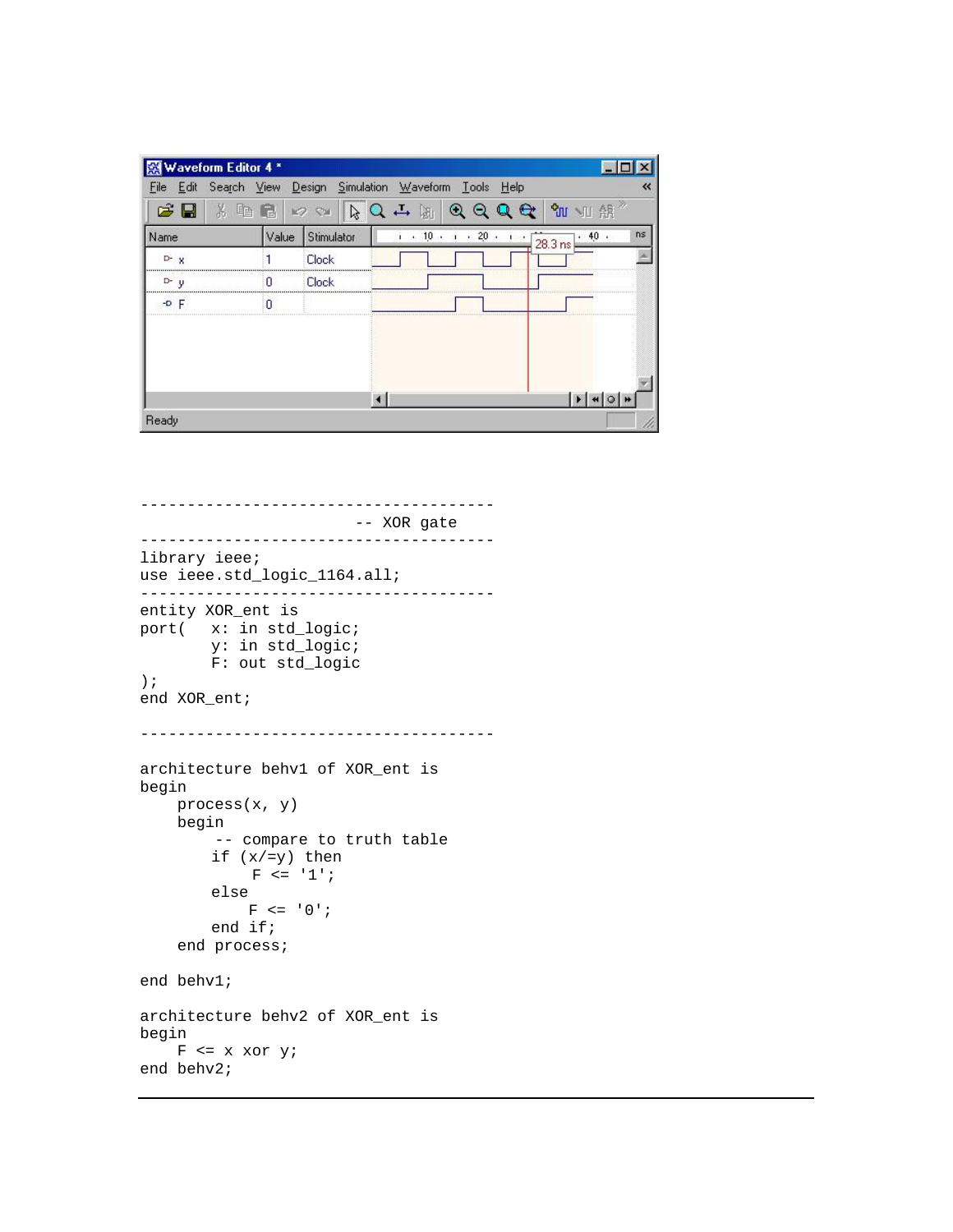|                    | Waveform Editor 4 *                                    |                  |              |                            |                     |                                            |       |    |
|--------------------|--------------------------------------------------------|------------------|--------------|----------------------------|---------------------|--------------------------------------------|-------|----|
| File               | Edit Search View Design Simulation Waveform Tools Help |                  |              |                            |                     |                                            |       | «  |
| ۱.                 | X<br>4B <sup></sup><br>€                               |                  | $\mathbb{Z}$ | $Q \nightharpoonup$<br>圆   | $\odot$<br>$\Theta$ |                                            | ℃ ™ ℃ |    |
| Name               | Value                                                  |                  | Stimulator   | 10.4<br>$\mathbf{I}$<br>v. |                     | $\frac{1}{1}$ 20 $\cdot$ 1 $\cdot$ 28.3 ns | .40.  | ns |
| $D^2$ $X$          |                                                        | <b>Clock</b>     |              |                            |                     |                                            |       |    |
| D-<br>$\mathbf{v}$ | n                                                      | <br><b>Clock</b> |              |                            |                     |                                            |       |    |
| $-0$ F             | Ω                                                      |                  |              |                            |                     |                                            |       |    |
|                    |                                                        |                  |              |                            |                     |                                            |       |    |
|                    |                                                        |                  |              |                            |                     |                                            |       |    |
|                    |                                                        |                  |              |                            |                     |                                            |       |    |
|                    |                                                        |                  |              |                            |                     |                                            |       |    |
| Ready              |                                                        |                  |              |                            |                     |                                            |       |    |

-------------------------------------- -- XOR gate ------------------------------------- library ieee; use ieee.std\_logic\_1164.all; ------------------------------------- entity XOR\_ent is port( x: in std\_logic; y: in std\_logic; F: out std\_logic ); end XOR\_ent; ------------------------------------- architecture behv1 of XOR\_ent is begin process(x, y) begin -- compare to truth table if (x/=y) then  $F \leq -1$ ; else  $F \leq 0$ '; end if; end process; end behv1; architecture behv2 of XOR\_ent is begin  $F$  <= x xor y; end behv2;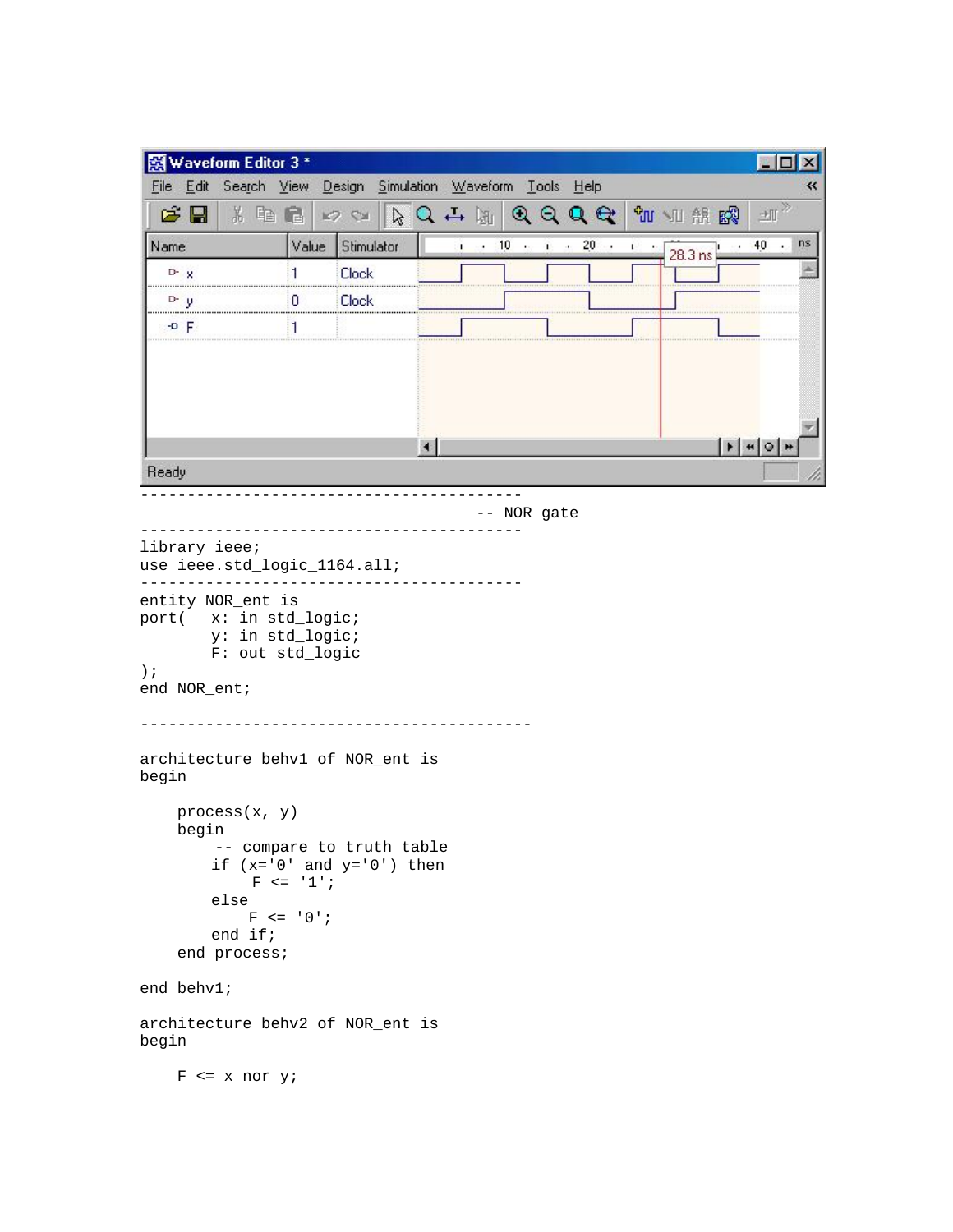| 图 Waveform Editor 3 *                                                                                                                        |                          |                                                           |                  |                            |  |                   |                    |    |
|----------------------------------------------------------------------------------------------------------------------------------------------|--------------------------|-----------------------------------------------------------|------------------|----------------------------|--|-------------------|--------------------|----|
| File Edit Search View Design Simulation Waveform Tools Help                                                                                  |                          |                                                           |                  |                            |  |                   |                    |    |
| C H<br>3. 电量                                                                                                                                 |                          | K2 SM                                                     | ないも 圏 のののは さん 調整 |                            |  |                   | $\pm \mathbb{I}$   |    |
| Name                                                                                                                                         | Value                    | Stimulator                                                |                  | <b>1</b> 10 cm 1 20 cm 1 c |  | $28.3 \text{ ns}$ | $\cdot$ 40 $\cdot$ | ns |
| $D - X$                                                                                                                                      | 1                        | <b>Clock</b>                                              |                  |                            |  |                   |                    |    |
| D- U                                                                                                                                         | 0.                       | <b>Clock</b>                                              |                  |                            |  |                   |                    |    |
| $-0$ F                                                                                                                                       | 1                        |                                                           |                  |                            |  |                   |                    |    |
|                                                                                                                                              |                          |                                                           |                  |                            |  |                   |                    |    |
|                                                                                                                                              |                          |                                                           |                  |                            |  |                   | $ A $ $\cup$       |    |
| Ready                                                                                                                                        |                          |                                                           |                  |                            |  |                   |                    |    |
|                                                                                                                                              |                          |                                                           |                  | -- NOR gate                |  |                   |                    |    |
| use ieee.std_logic_1164.all;<br>entity NOR_ent is<br>port( x: in std_logic;<br>y: in std_logic;<br>F: out std_logic<br>$)$ ;<br>end NOR_ent; |                          |                                                           |                  |                            |  |                   |                    |    |
| architecture behv1 of NOR_ent is<br>begin                                                                                                    |                          |                                                           |                  |                            |  |                   |                    |    |
| process(x, y)<br>begin<br>else<br>end if;<br>end process;                                                                                    | $F \le 1$<br>$F \le 0$ ; | -- compare to truth table<br>if $(x=0'$ and $y=0'$ ) then |                  |                            |  |                   |                    |    |
| end behv1;                                                                                                                                   |                          |                                                           |                  |                            |  |                   |                    |    |
| architecture behv2 of NOR_ent is<br>begin                                                                                                    |                          |                                                           |                  |                            |  |                   |                    |    |
| $F \le x$ nor $yi$                                                                                                                           |                          |                                                           |                  |                            |  |                   |                    |    |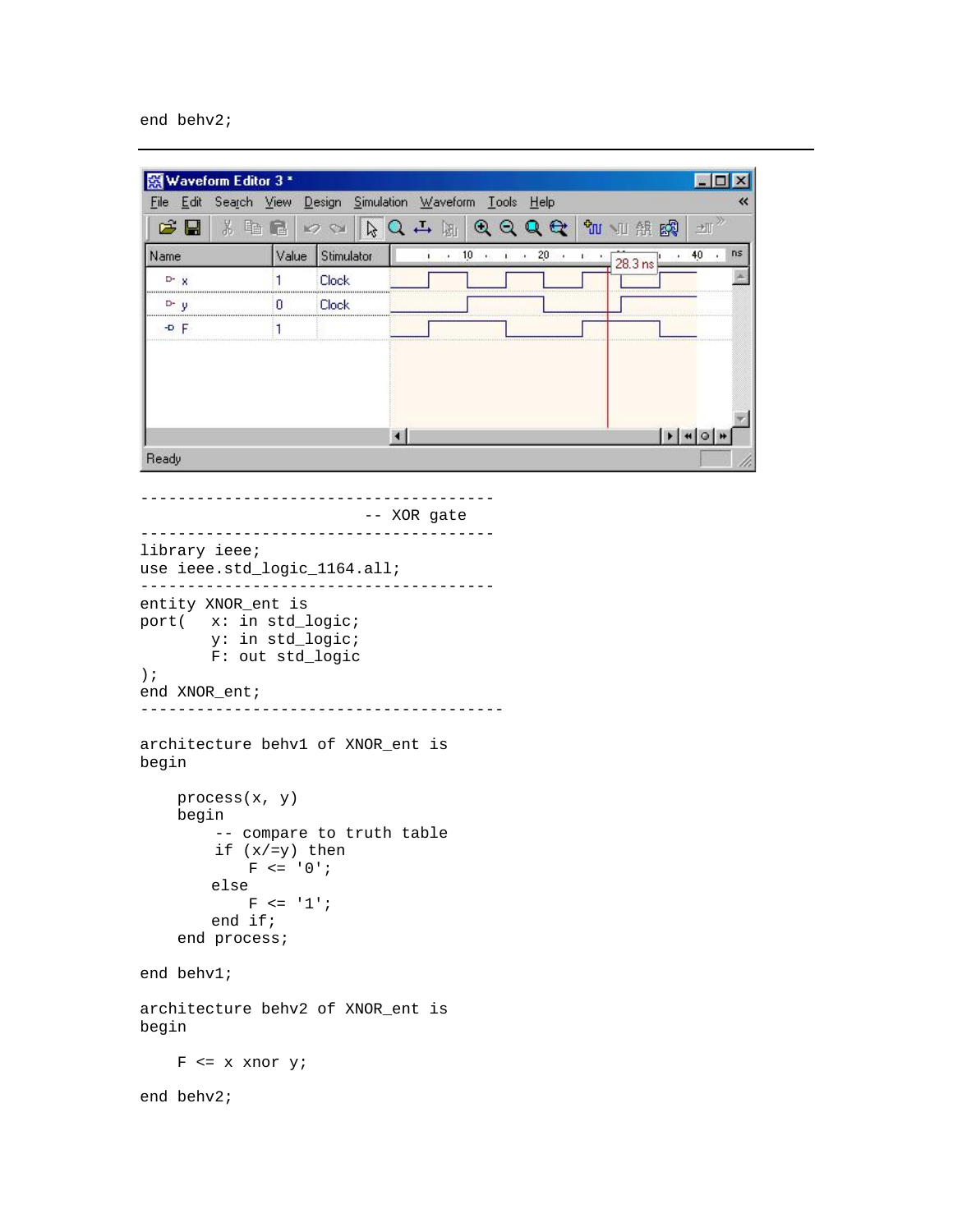#### end behv2;

|       |            | 图 Waveform Editor 3 *                                       |             |                           |                      |  |                          |         |        |    |
|-------|------------|-------------------------------------------------------------|-------------|---------------------------|----------------------|--|--------------------------|---------|--------|----|
|       |            | File Edit Search View Design Simulation Waveform Tools Help |             |                           |                      |  |                          |         |        |    |
|       | C H        | 3. 电 口                                                      |             | K2 SH                     |                      |  | なんせ 阿 の の の の し 加 地 略    |         | 土      |    |
| Name  |            |                                                             |             | Value Stimulator          |                      |  | <b>1 10 6 1 20 6 1 6</b> | 28.3 ns | $40 -$ | ns |
|       | $D - X$    |                                                             | 1           | <b>Clock</b>              |                      |  |                          |         |        |    |
|       | $D - y$    |                                                             | 0           | Clock                     |                      |  |                          |         |        |    |
|       | $-0$ F     |                                                             | 1           |                           |                      |  |                          |         |        |    |
|       |            |                                                             |             |                           |                      |  |                          |         |        |    |
|       |            |                                                             |             |                           |                      |  |                          |         |        |    |
|       |            |                                                             |             |                           | $\blacktriangleleft$ |  |                          |         |        |    |
| Ready |            |                                                             |             |                           |                      |  |                          |         |        |    |
|       |            |                                                             |             |                           |                      |  |                          |         |        |    |
|       |            |                                                             |             |                           | -- XOR gate          |  |                          |         |        |    |
|       |            |                                                             |             |                           |                      |  |                          |         |        |    |
|       |            | library ieee;<br>use ieee.std_logic_1164.all;               |             |                           |                      |  |                          |         |        |    |
|       |            | entity XNOR_ent is                                          |             |                           |                      |  |                          |         |        |    |
|       |            | port( x: in std_logic;                                      |             |                           |                      |  |                          |         |        |    |
|       |            | y: in std_logic;<br>F: out std_logic                        |             |                           |                      |  |                          |         |        |    |
| $)$ ; |            |                                                             |             |                           |                      |  |                          |         |        |    |
|       |            | end XNOR_ent;                                               |             |                           |                      |  |                          |         |        |    |
| begin |            | architecture behv1 of XNOR_ent is                           |             |                           |                      |  |                          |         |        |    |
|       |            |                                                             |             |                           |                      |  |                          |         |        |    |
|       | begin      | process(x, y)                                               |             |                           |                      |  |                          |         |        |    |
|       |            | if $(x/=y)$ then                                            |             | -- compare to truth table |                      |  |                          |         |        |    |
|       |            |                                                             | $F \le 0$ ; |                           |                      |  |                          |         |        |    |
|       |            | else                                                        | $F \le 1$   |                           |                      |  |                          |         |        |    |
|       |            | end if;                                                     |             |                           |                      |  |                          |         |        |    |
|       |            | end process;                                                |             |                           |                      |  |                          |         |        |    |
|       | end behv1; |                                                             |             |                           |                      |  |                          |         |        |    |
| begin |            | architecture behv2 of XNOR_ent is                           |             |                           |                      |  |                          |         |        |    |
|       |            | $F \leq x$ xnor y;                                          |             |                           |                      |  |                          |         |        |    |
|       | end behv2; |                                                             |             |                           |                      |  |                          |         |        |    |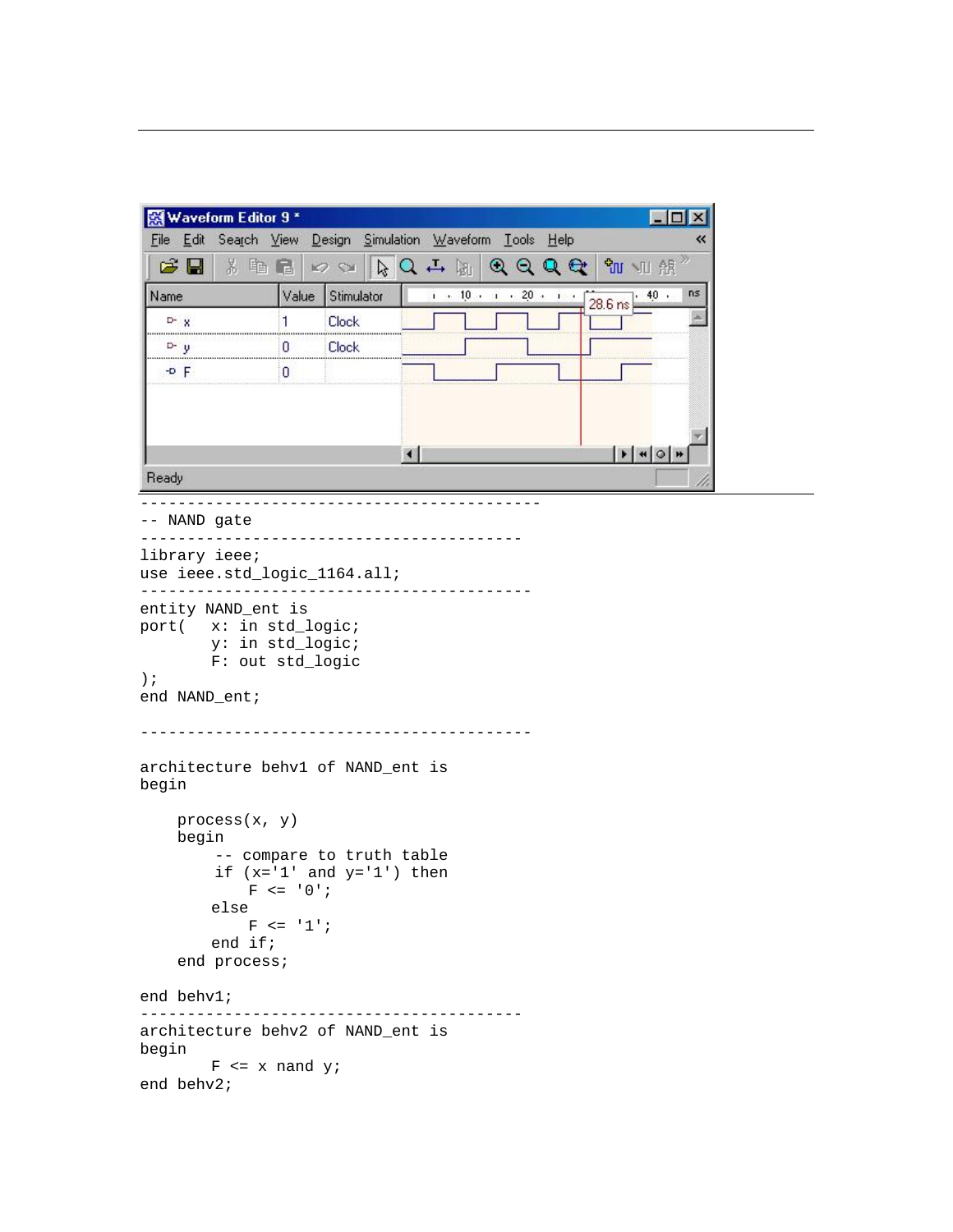| 图 Waveform Editor 9 *                                       |                |                                                          |                                                                                                                                                     |                                                                      |  |  |              |     |
|-------------------------------------------------------------|----------------|----------------------------------------------------------|-----------------------------------------------------------------------------------------------------------------------------------------------------|----------------------------------------------------------------------|--|--|--------------|-----|
| File Edit Search View Design Simulation Waveform Tools Help |                |                                                          |                                                                                                                                                     |                                                                      |  |  |              | «   |
| C H<br>3. 轴 尾                                               |                | K2 SH                                                    | $\mathfrak{g} \mathbf{Q} \rightarrow \mathfrak{g} \mathbf{Q} \mathbf{Q} \mathbf{Q} \mathbf{Q} \mathbf{q} \mathbf{w} \mathbf{w} \mathbf{R}^{\times}$ |                                                                      |  |  |              |     |
| Name                                                        | Value          | Stimulator                                               |                                                                                                                                                     | $\frac{1}{1}$ 10 $\frac{1}{1}$ 20 $\frac{20}{1}$ $\frac{1}{28.6}$ ns |  |  | .40.         | ns. |
| $D - x$                                                     | 1              | <b>Clock</b>                                             |                                                                                                                                                     |                                                                      |  |  |              |     |
| D-y                                                         | U              | Clock                                                    |                                                                                                                                                     |                                                                      |  |  |              |     |
| $-0$ F                                                      | 0              |                                                          |                                                                                                                                                     |                                                                      |  |  |              |     |
|                                                             |                |                                                          |                                                                                                                                                     |                                                                      |  |  |              |     |
|                                                             |                |                                                          |                                                                                                                                                     |                                                                      |  |  |              |     |
|                                                             |                |                                                          | $\left  \cdot \right $                                                                                                                              |                                                                      |  |  | $ H $ + $ Q$ |     |
| Ready                                                       |                |                                                          |                                                                                                                                                     |                                                                      |  |  |              |     |
| -- NAND gate                                                |                |                                                          |                                                                                                                                                     |                                                                      |  |  |              |     |
|                                                             |                |                                                          |                                                                                                                                                     |                                                                      |  |  |              |     |
| library ieee;<br>use ieee.std_logic_1164.all;               |                |                                                          |                                                                                                                                                     |                                                                      |  |  |              |     |
|                                                             |                |                                                          |                                                                                                                                                     |                                                                      |  |  |              |     |
| entity NAND_ent is<br>port( x: in std_logic;                |                |                                                          |                                                                                                                                                     |                                                                      |  |  |              |     |
| y: in std_logic;                                            |                |                                                          |                                                                                                                                                     |                                                                      |  |  |              |     |
| F: out std_logic                                            |                |                                                          |                                                                                                                                                     |                                                                      |  |  |              |     |
| $)$ ;<br>end NAND_ent;                                      |                |                                                          |                                                                                                                                                     |                                                                      |  |  |              |     |
|                                                             |                |                                                          |                                                                                                                                                     |                                                                      |  |  |              |     |
|                                                             |                |                                                          |                                                                                                                                                     |                                                                      |  |  |              |     |
| architecture behv1 of NAND_ent is                           |                |                                                          |                                                                                                                                                     |                                                                      |  |  |              |     |
| begin                                                       |                |                                                          |                                                                                                                                                     |                                                                      |  |  |              |     |
| process(x, y)                                               |                |                                                          |                                                                                                                                                     |                                                                      |  |  |              |     |
| begin                                                       |                |                                                          |                                                                                                                                                     |                                                                      |  |  |              |     |
|                                                             |                | -- compare to truth table<br>if $(x='1' and y='1') then$ |                                                                                                                                                     |                                                                      |  |  |              |     |
|                                                             | $F \leq -10$ ; |                                                          |                                                                                                                                                     |                                                                      |  |  |              |     |
| else                                                        |                |                                                          |                                                                                                                                                     |                                                                      |  |  |              |     |
|                                                             |                |                                                          |                                                                                                                                                     |                                                                      |  |  |              |     |
|                                                             | $F \leq -1$ ;  |                                                          |                                                                                                                                                     |                                                                      |  |  |              |     |
| end if;                                                     |                |                                                          |                                                                                                                                                     |                                                                      |  |  |              |     |
| end process;                                                |                |                                                          |                                                                                                                                                     |                                                                      |  |  |              |     |
| end behv1;                                                  |                |                                                          |                                                                                                                                                     |                                                                      |  |  |              |     |
| architecture behv2 of NAND_ent is                           |                | _____________________________________                    |                                                                                                                                                     |                                                                      |  |  |              |     |
| begin<br>$F \le x$ nand $Y$                                 |                |                                                          |                                                                                                                                                     |                                                                      |  |  |              |     |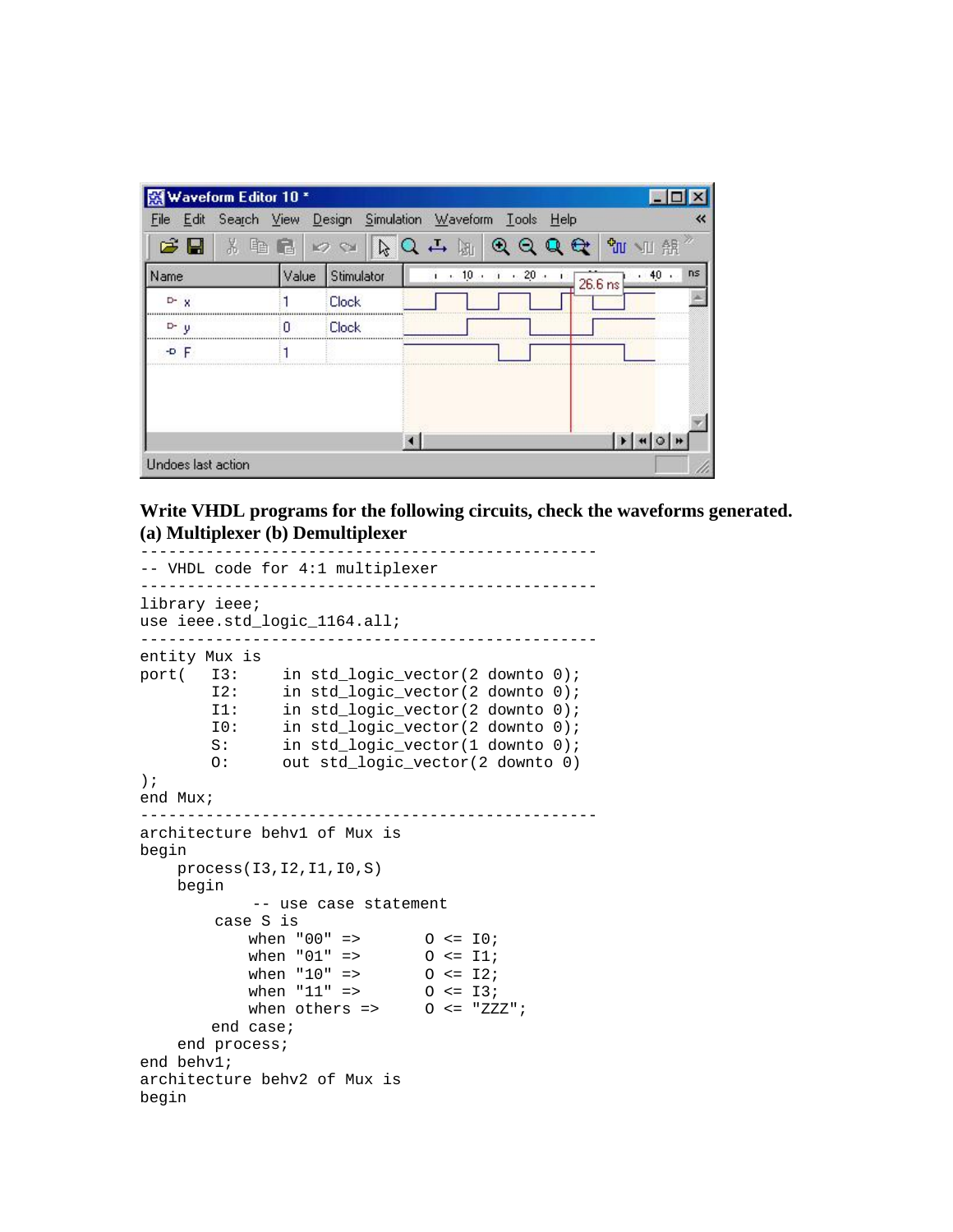| Waveform Editor 10 *   |       |                      |         |                     |                               |            |
|------------------------|-------|----------------------|---------|---------------------|-------------------------------|------------|
| Search<br>Edit<br>File | View  | Simulation<br>Design |         | Waveform Lools Help |                               |            |
| ಡ<br>X<br>н            |       | B                    | 跏       | $\odot$             |                               | ੀਘ<br>髁    |
| Name                   | Value | Stimulator           | $+10.4$ | .20.                | 26.6 ns                       | ns<br>.40. |
| D-X                    |       | <b>Clock</b>         |         |                     |                               |            |
| $D^2$ $\psi$           | n     | <b>Clock</b>         |         |                     | <b>**********************</b> |            |
| $-0$ F                 |       |                      |         |                     |                               |            |
|                        |       |                      |         |                     |                               |            |
|                        |       |                      |         |                     |                               |            |
|                        |       |                      |         |                     |                               |            |
| Undoes last action     |       |                      |         |                     |                               |            |

**Write VHDL programs for the following circuits, check the waveforms generated. (a) Multiplexer (b) Demultiplexer** 

```
------------------------------------------------- 
-- VHDL code for 4:1 multiplexer 
------------------------------------------------- 
library ieee; 
use ieee.std_logic_1164.all; 
------------------------------------------------- 
entity Mux is 
port( I3: in std_logic_vector(2 downto 0); 
         I2: in std_logic_vector(2 downto 0); 
         I1: in std_logic_vector(2 downto 0); 
         I0: in std_logic_vector(2 downto 0); 
        S: in std_logic_vector(1 downto 0);
         O: out std_logic_vector(2 downto 0) 
); 
end Mux; 
------------------------------------------------- 
architecture behv1 of Mux is 
begin 
     process(I3,I2,I1,I0,S) 
     begin 
              -- use case statement 
         case S is 
            when "00" => 0 <= 10;
            when "01" => 0 \leq 11;<br>when "10" => 0 \leq 12;
            when "10" => 0 \leq 12;<br>when "11" => 0 \leq 13;
            when "11" => 0 \le 13;<br>when others => 0 \le "ZZZ";
            when others =>
         end case; 
     end process; 
end behv1; 
architecture behv2 of Mux is 
begin
```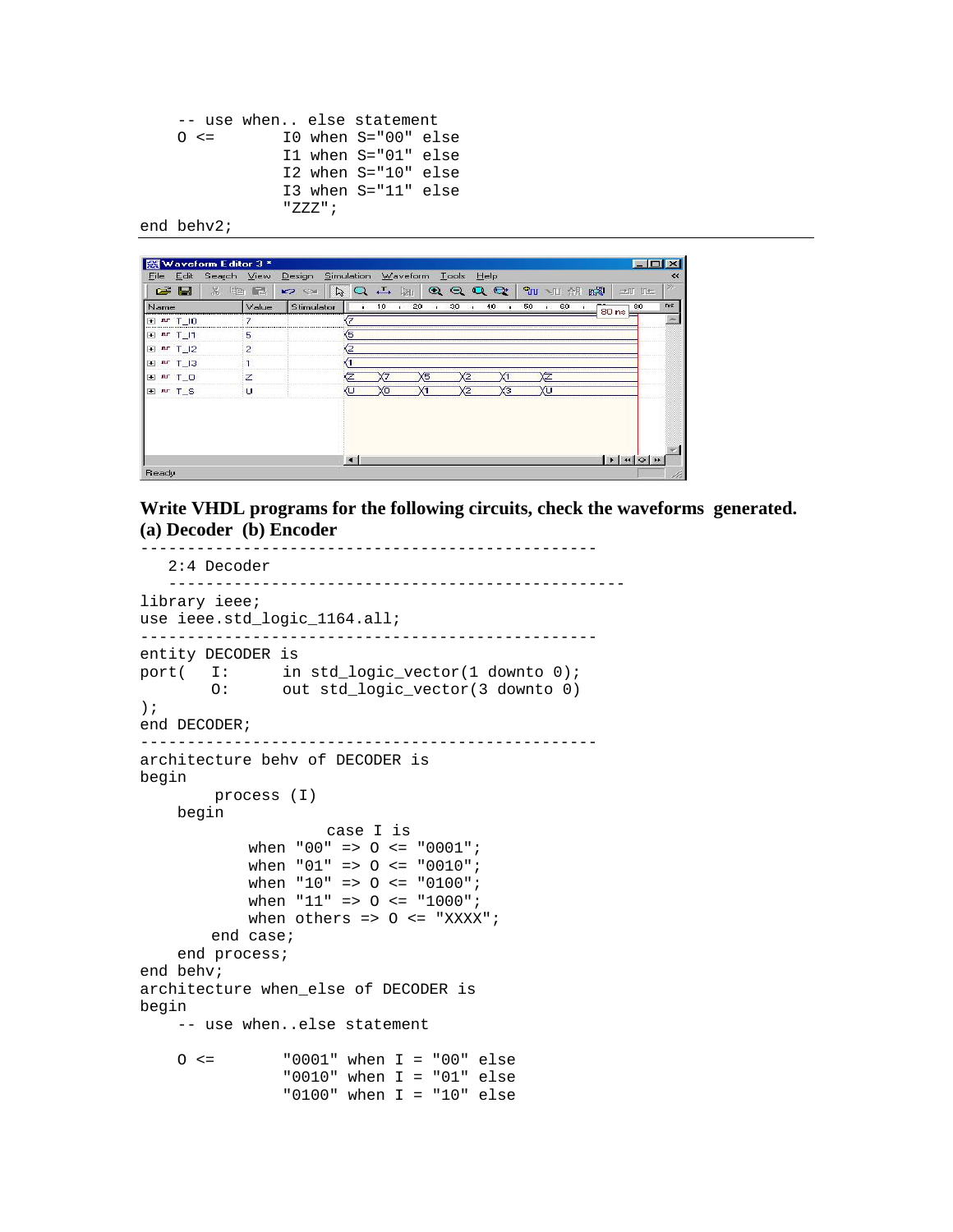```
 -- use when.. else statement 
0 \leq I0 when S="00" else
             I1 when S="01" else 
             I2 when S="10" else 
             I3 when S="11" else 
             "ZZZ";
```
end behv2;

| 120<br>n s<br>Stimulator<br>1,0<br>30<br>50<br>Value<br>40<br>60<br>80<br>$\blacksquare$<br>$\mathbf{r}$<br>л.<br>$80 \text{ ns}$<br>45<br>5<br>2<br>Б<br>z<br>ш | $\mathbb{X}$<br>$\epsilon$ $\blacksquare$ | 雪<br>后 | 25 | $\mathbb{R}^1 \xrightarrow{\tau} \mathbb{Q}^1 \mathbb{R}^1$ | $Q Q Q Q$ | Spa 昂台 UI 2D | 土町田生 |
|------------------------------------------------------------------------------------------------------------------------------------------------------------------|-------------------------------------------|--------|----|-------------------------------------------------------------|-----------|--------------|------|
|                                                                                                                                                                  | Name                                      |        |    |                                                             |           |              |      |
|                                                                                                                                                                  | 田 <u>In</u> T_10                          |        |    |                                                             |           |              |      |
|                                                                                                                                                                  | 田 <u>N</u> T 11                           |        |    |                                                             |           |              |      |
|                                                                                                                                                                  | 田 nr T 12                                 |        |    |                                                             |           |              |      |
|                                                                                                                                                                  | 田 m T_I3                                  |        |    |                                                             |           |              |      |
|                                                                                                                                                                  | EL ar T_O                                 |        |    |                                                             |           |              |      |
|                                                                                                                                                                  | <b>E</b> Ar T S                           |        |    |                                                             |           |              |      |
|                                                                                                                                                                  |                                           |        |    |                                                             |           |              |      |

**Write VHDL programs for the following circuits, check the waveforms generated. (a) Decoder (b) Encoder** 

```
------------------------------------------------- 
   2:4 Decoder 
   ------------------------------------------------- 
library ieee; 
use ieee.std logic 1164.all;
------------------------------------------------- 
entity DECODER is 
port( I: in std_logic_vector(1 downto 0); 
         O: out std_logic_vector(3 downto 0) 
); 
end DECODER; 
------------------------------------------------- 
architecture behv of DECODER is 
begin 
         process (I) 
     begin 
                       case I is 
              when "00" => O <= "0001"; 
              when "01" => O <= "0010"; 
              when "10" => O <= "0100"; 
              when "11" => O <= "1000"; 
             when others => 0 \leq - "XXXX";
         end case; 
     end process; 
end behv; 
architecture when_else of DECODER is 
begin 
     -- use when..else statement 
    0 \leq \leq \leq \leq \leq 001" when I = "00" else
                  "0010" when I = "01" else 
                  "0100" when I = "10" else
```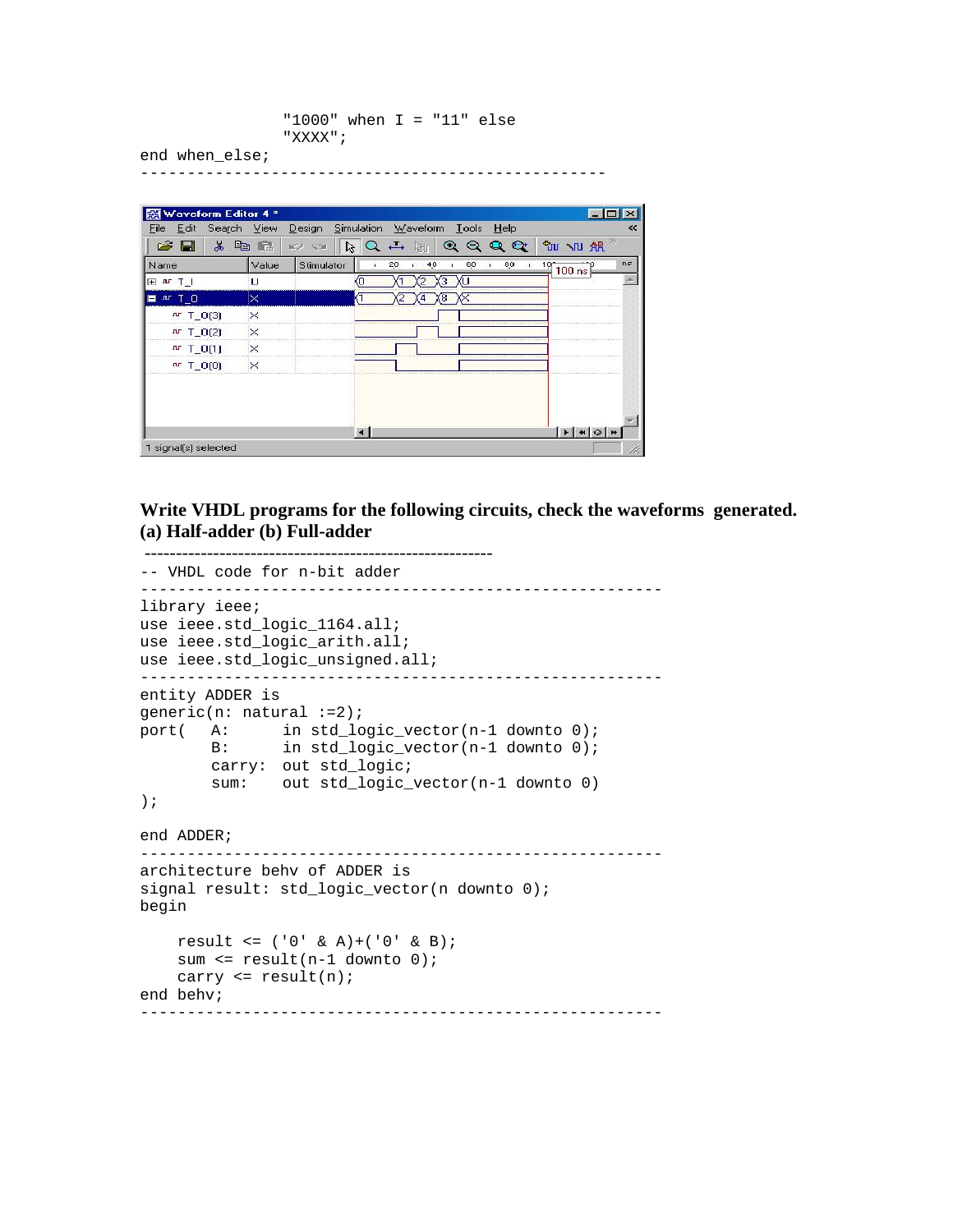```
 "1000" when I = "11" else 
 "XXXX";
```
--------------------------------------------------

end when\_else;

| Edit<br>Search View<br>File |              | Design Simulation Waveform |                  |          |     | Tools Help           |    |    |                                     | ⋘  |
|-----------------------------|--------------|----------------------------|------------------|----------|-----|----------------------|----|----|-------------------------------------|----|
| G H<br>$x$ in               | $\mathbb{F}$ | K<br>$\sim$                | $RQ \rightarrow$ | 隔        |     | QQQQ                 |    |    | <b>EU NU AR</b>                     |    |
| Name                        | Value        | Stimulator                 |                  | 20<br>×, | 40  | 60<br>$\blacksquare$ | J. | 80 | 10 <sup>o</sup><br>$100 \text{ ns}$ | ns |
| <b>H</b> H T                | u            |                            | 40               |          | з   |                      |    |    |                                     |    |
| $M$ $T$ $O$<br>۳            | ×            |                            |                  |          | 68. |                      |    |    |                                     |    |
| $\mathbf{u}$ T_O(3)         | $\times$     |                            |                  |          |     |                      |    |    |                                     |    |
| $\mathbf{u}$ T_0(2)         | $\times$     |                            |                  |          |     |                      |    |    |                                     |    |
| $M$ $T_0(1)$                | $\times$     |                            |                  |          |     |                      |    |    |                                     |    |
| $nr$ T_O(0)                 | $\times$     |                            |                  |          |     |                      |    |    |                                     |    |
|                             |              |                            |                  |          |     |                      |    |    |                                     |    |
|                             |              |                            |                  |          |     |                      |    |    | $\mathbf{F}$ +                      |    |

**Write VHDL programs for the following circuits, check the waveforms generated. (a) Half-adder (b) Full-adder** 

```
 -------------------------------------------------------- -- VHDL code for n-bit adder 
-------------------------------------------------------- 
library ieee; 
use ieee.std_logic_1164.all; 
use ieee.std_logic_arith.all; 
use ieee.std_logic_unsigned.all; 
-------------------------------------------------------- 
entity ADDER is 
generic(n: natural :=2); 
port( A: in std_logic_vector(n-1 downto 0); 
 B: in std_logic_vector(n-1 downto 0); 
         carry: out std_logic; 
         sum: out std_logic_vector(n-1 downto 0) 
); 
end ADDER; 
-------------------------------------------------------- 
architecture behv of ADDER is 
signal result: std_logic_vector(n downto 0);
begin 
     result <= ('0' & A)+('0' & B); 
    sum \le result(n-1 downto 0);
     carry <= result(n); 
end behv; 
--------------------------------------------------------
```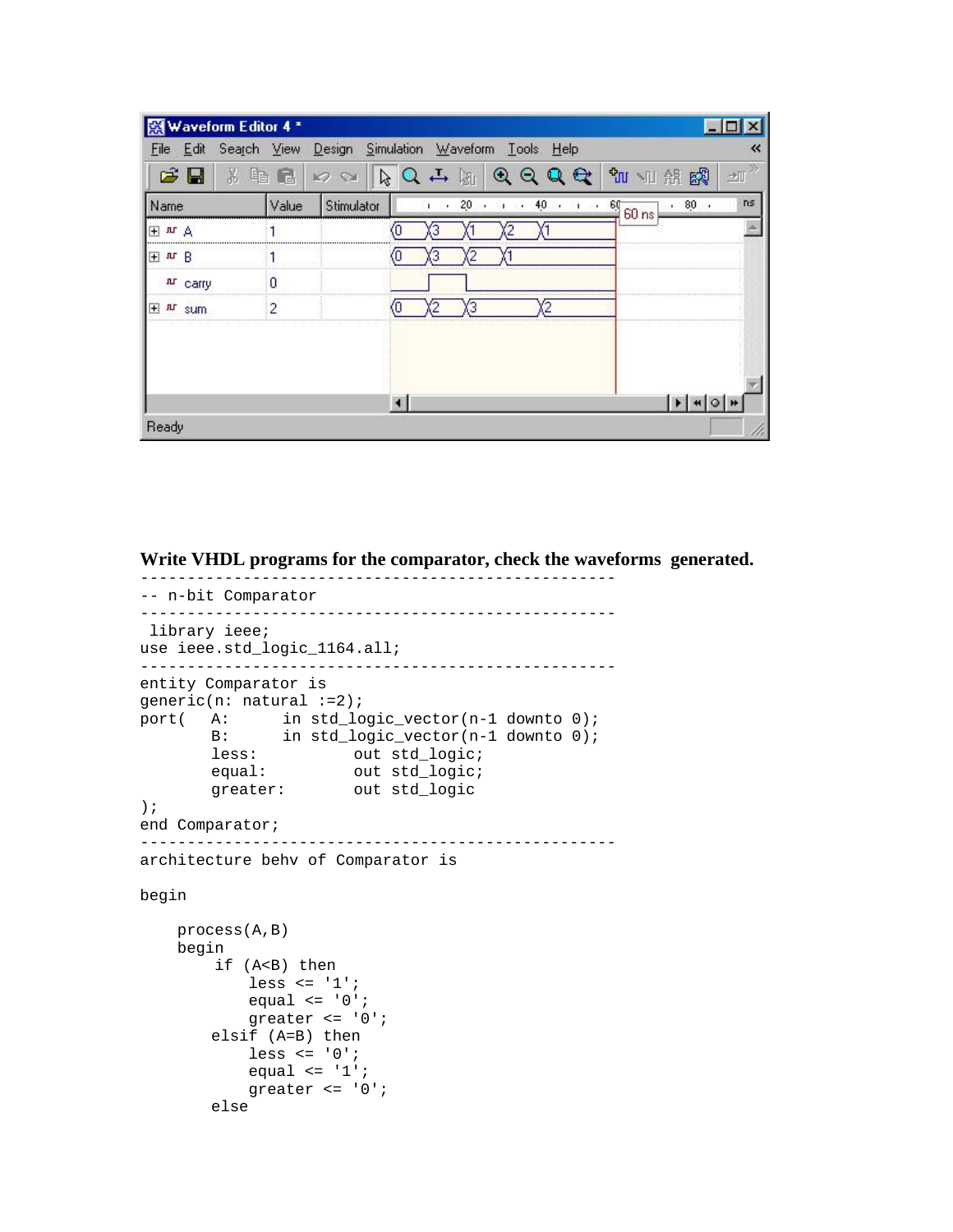| Waveform Editor 4 *               |       |                                                        |    |    |            |                             |     |
|-----------------------------------|-------|--------------------------------------------------------|----|----|------------|-----------------------------|-----|
| File                              |       | Edit Search View Design Simulation Waveform Tools Help |    |    |            |                             |     |
| ಡ                                 |       | rs,                                                    |    |    |            | 畹<br>ਪੌਰ<br>骼               |     |
| Name                              | Value | Stimulator                                             | 20 | 40 | $\cdot$ 60 | 80<br>٠<br>60 <sub>ns</sub> | n s |
| 田山人                               |       |                                                        |    |    |            |                             |     |
| $\overline{+}$<br>B<br><b>JIT</b> |       |                                                        |    |    |            |                             |     |
| Ar carry                          | Ω     |                                                        |    |    |            |                             |     |
| 王<br>sum                          | 2     |                                                        |    |    |            |                             |     |
|                                   |       |                                                        |    |    |            |                             |     |
|                                   |       |                                                        |    |    |            |                             |     |
|                                   |       |                                                        |    |    |            |                             |     |
|                                   |       |                                                        |    |    |            |                             |     |
| Ready                             |       |                                                        |    |    |            |                             |     |

**Write VHDL programs for the comparator, check the waveforms generated.** 

```
-- n-bit Comparator 
--------------------------------------------------- 
 library ieee; 
use ieee.std_logic_1164.all; 
--------------------------------------------------- 
entity Comparator is 
generic(n: natural :=2); 
port( A: in std_logic_vector(n-1 downto 0); 
 B: in std_logic_vector(n-1 downto 0); 
less: out std_logic;
equal: out std_logic;
 greater: out std_logic 
); 
end Comparator; 
--------------------------------------------------- 
architecture behv of Comparator is 
begin 
    process(A,B) 
    begin 
        if (A<B) then 
           less \le '1';
           equal \le '0';
            greater <= '0'; 
        elsif (A=B) then 
            less <= '0'; 
           equal \le '1';
            greater <= '0'; 
        else
```
---------------------------------------------------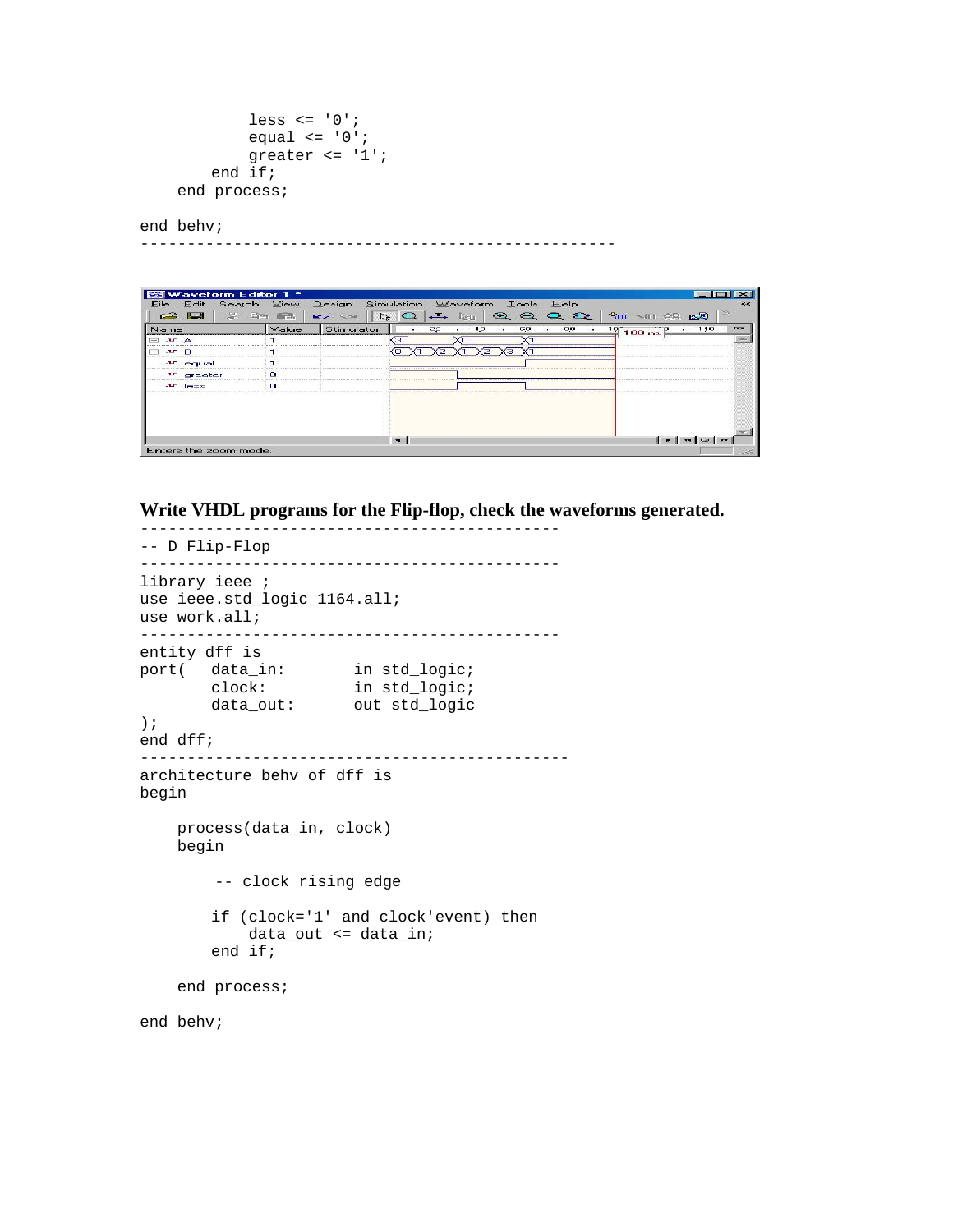```
less \leq '0';
         equal \leq '0';
          greater <= '1'; 
     end if; 
 end process;
```
end behv;

---------------------------------------------------

|                | Waveform Editor 1 *             |       |                      |            |          |              |        |             |                                      |     |       |
|----------------|---------------------------------|-------|----------------------|------------|----------|--------------|--------|-------------|--------------------------------------|-----|-------|
| File           | Search<br>Edit                  | View  | Design               | Simulation | Waveform | <b>Tools</b> |        | <b>Help</b> |                                      |     |       |
|                | $\Rightarrow$ $\Box$<br>苯<br>En | $-4$  | ক্রি<br>$\mathbf{r}$ | $\circ$    |          | ◒<br>e       | $\sim$ | $-$         | <sup>S</sup> uu 、 NI 余尾              | 医足  |       |
| Name           |                                 | Value | Stimulator           |            | 22<br>40 | 60           |        | 80          | $\frac{10}{100}$ 100 ns <sup>y</sup> | 140 | $n =$ |
| $+1$ $M2$      |                                 |       |                      |            | xπ       |              |        |             |                                      |     |       |
| $-1$<br>$n$ FR |                                 |       |                      |            |          |              |        |             |                                      |     |       |
|                | ar equal                        |       |                      |            |          |              |        |             |                                      |     |       |
|                | ar greater                      |       |                      |            |          |              |        |             |                                      |     |       |
|                | $n r$ less                      | n     |                      |            |          |              |        |             |                                      |     |       |
|                |                                 |       |                      |            |          |              |        |             |                                      |     |       |
|                |                                 |       |                      |            |          |              |        |             |                                      |     |       |
|                |                                 |       |                      |            |          |              |        |             |                                      |     |       |
|                |                                 |       |                      |            |          |              |        |             |                                      |     |       |
|                |                                 |       |                      |            |          |              |        |             |                                      |     |       |
|                | Enters the zoom mode.           |       |                      |            |          |              |        |             |                                      |     |       |

**Write VHDL programs for the Flip-flop, check the waveforms generated.** 

```
--------------------------------------------- 
-- D Flip-Flop 
--------------------------------------------- 
library ieee ; 
use ieee.std_logic_1164.all; 
use work.all; 
--------------------------------------------- 
entity dff is 
port( data_in: in std_logic;<br>clock: in std_logic;
 clock: in std_logic; 
 data_out: out std_logic 
); 
end dff; 
---------------------------------------------- 
architecture behv of dff is 
begin 
     process(data_in, clock) 
     begin 
         -- clock rising edge 
         if (clock='1' and clock'event) then 
             data_out <= data_in; 
         end if; 
     end process; 
end behv;
```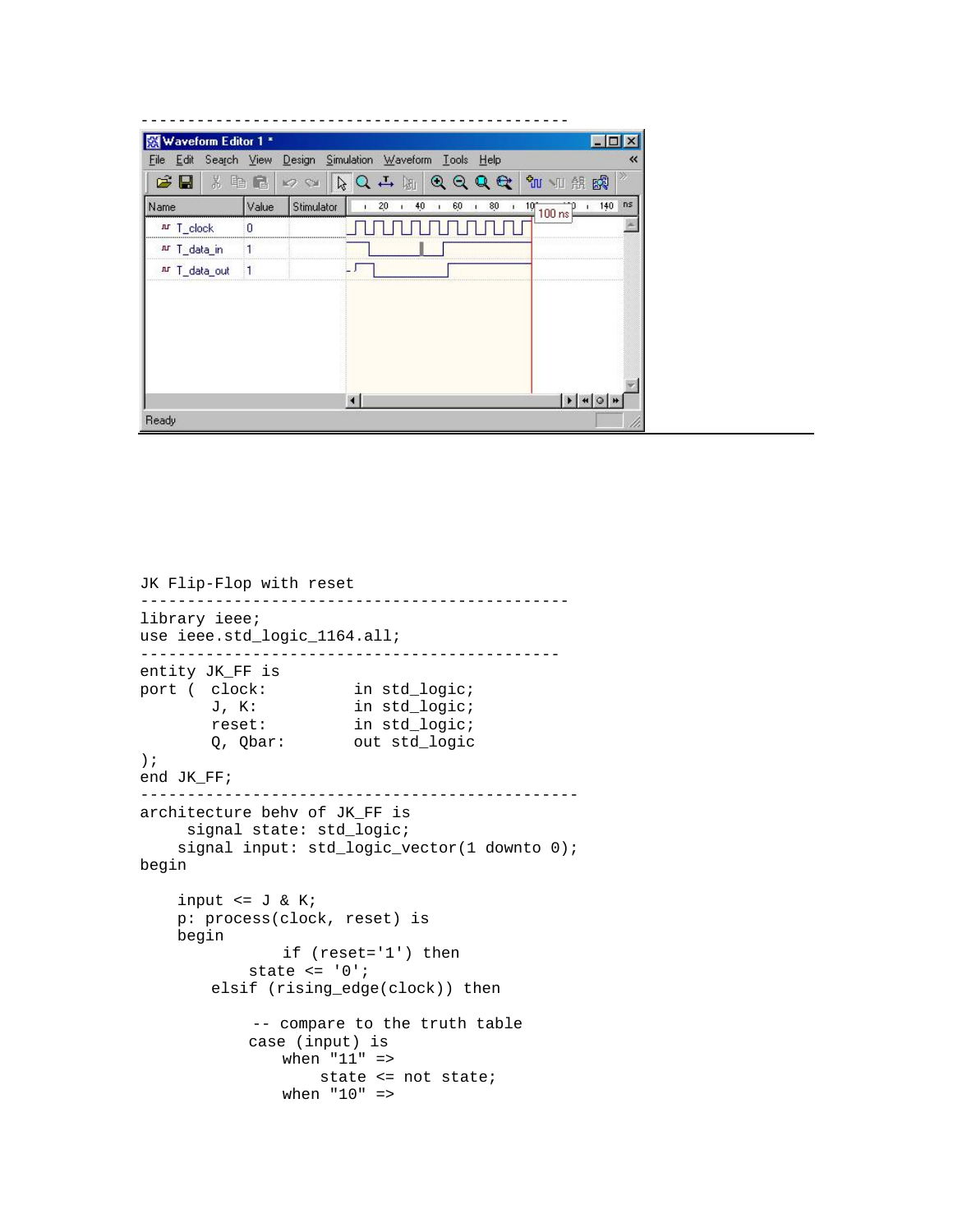| 如加船的<br>c l<br>3. 轴 量<br><b>K2 SH</b><br>QQQQ<br>n s<br>140<br>Stimulator<br>20<br>40<br>Value<br>60<br>80<br>$10^{\circ}$<br>٠<br>$100 \text{ ns}$<br>Ar T_clock<br>nr T_data_in<br>ar T_data_out | 图 Waveform Editor 1*<br>File |  | Edit Search View Design Simulation Waveform Tools Help | « |
|----------------------------------------------------------------------------------------------------------------------------------------------------------------------------------------------------|------------------------------|--|--------------------------------------------------------|---|
|                                                                                                                                                                                                    |                              |  |                                                        |   |
|                                                                                                                                                                                                    | Name                         |  |                                                        |   |
|                                                                                                                                                                                                    |                              |  |                                                        |   |
|                                                                                                                                                                                                    |                              |  |                                                        |   |
|                                                                                                                                                                                                    |                              |  |                                                        |   |
|                                                                                                                                                                                                    |                              |  |                                                        |   |
|                                                                                                                                                                                                    |                              |  |                                                        |   |
|                                                                                                                                                                                                    |                              |  |                                                        |   |
|                                                                                                                                                                                                    |                              |  |                                                        |   |
| $ * $ 4 0 H                                                                                                                                                                                        | Ready                        |  |                                                        |   |

```
JK Flip-Flop with reset 
---------------------------------------------- 
library ieee; 
use ieee.std_logic_1164.all; 
--------------------------------------------- 
entity JK_FF is 
port ( clock:
        clock: in std_logic;<br>
J, K: in std_logic;<br>
reset: in std_logic;
                         in std_logic;
        q, Qbar: in Bearlington<br>Q, Qbar: out std_logic
); 
end JK_FF; 
----------------------------------------------- 
architecture behv of JK_FF is 
      signal state: std_logic; 
    signal input: std_logic_vector(1 downto 0);
begin 
    input \leq J \& K;
     p: process(clock, reset) is 
     begin 
                  if (reset='1') then 
              state <= '0'; 
          elsif (rising_edge(clock)) then 
               -- compare to the truth table 
              case (input) is 
                  when "11" => 
                       state <= not state; 
                  when "10" =>
```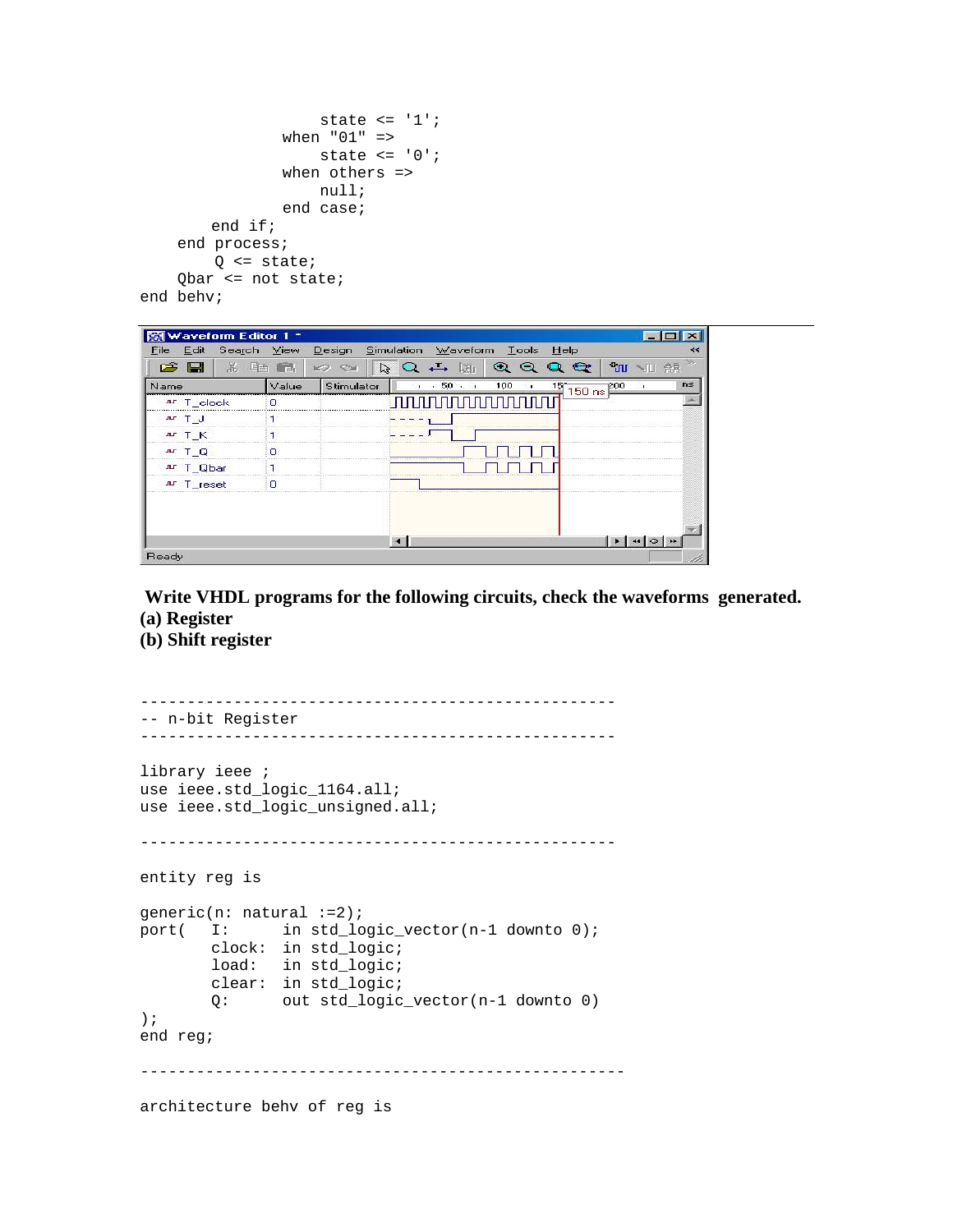```
state \leq '1';
                   when "01" => 
                        state <= '0'; 
                   when others => 
                       null; 
                   end case; 
          end if; 
     end process; 
         Q \leq state;
     Qbar <= not state; 
end behv;
```

| Name        | Value | Stimulator | $R_1 \otimes R_2 \rightarrow R_1 \otimes R_2 \rightarrow R_3$<br>.50.1<br>100 | n s<br>$\frac{15}{150}$ ns $\frac{200}{150}$ |
|-------------|-------|------------|-------------------------------------------------------------------------------|----------------------------------------------|
| Ar T clock  | n     |            | nnnnnnnn                                                                      |                                              |
| $n - 1$     |       |            |                                                                               |                                              |
| $nT$ $K$    |       |            |                                                                               |                                              |
| $n + 10$    | n     |            |                                                                               |                                              |
| Ar T_Qbar   |       |            |                                                                               |                                              |
| nur T_reset | n     |            |                                                                               |                                              |
|             |       |            |                                                                               |                                              |

 **Write VHDL programs for the following circuits, check the waveforms generated. (a) Register** 

**(b) Shift register** 

```
--------------------------------------------------- 
-- n-bit Register 
--------------------------------------------------- 
library ieee ; 
use ieee.std_logic_1164.all; 
use ieee.std_logic_unsigned.all; 
--------------------------------------------------- 
entity reg is 
generic(n: natural :=2); 
port( I: in std_logic_vector(n-1 downto 0); 
        clock: in std_logic; 
        load: in std_logic; 
        clear: in std_logic; 
        Q: out std_logic_vector(n-1 downto 0) 
); 
end reg; 
---------------------------------------------------- 
architecture behv of reg is
```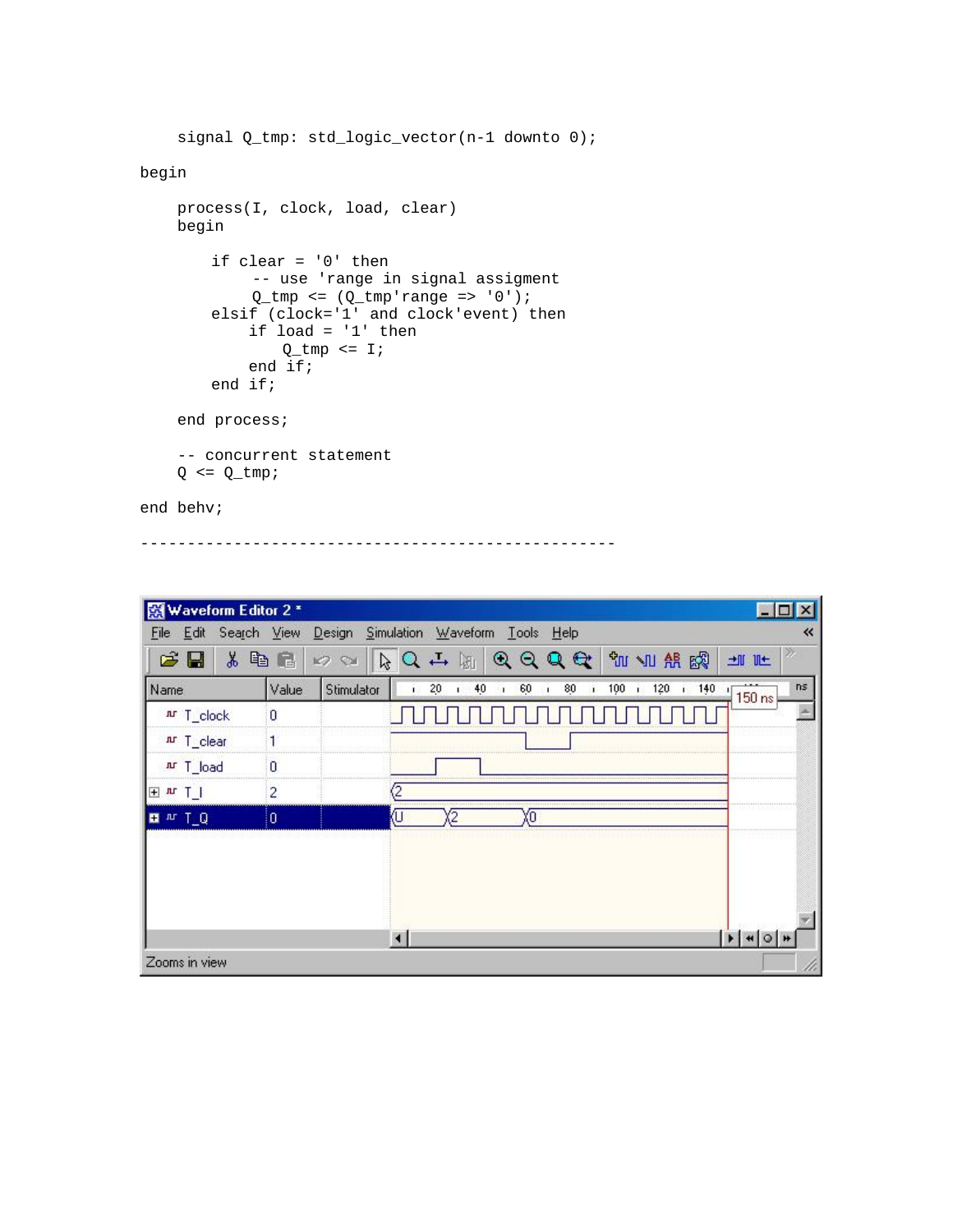```
signal Q_tmp: std_logic_vector(n-1 downto 0);
begin 
     process(I, clock, load, clear) 
     begin 
         if clear = '0' then 
              -- use 'range in signal assigment 
             Q_tmp \leq (Q_tmp'range \implies '0');
         elsif (clock='1' and clock'event) then 
              if load = '1' then 
                Q_tmp \leq I;
              end if; 
         end if; 
     end process; 
     -- concurrent statement 
    Q \leq Q_ttmp;
```
---------------------------------------------------

end behv;

| Waveform Editor 2 *<br>闣              |                    |                            |            |               |                                                   | 圖目             |
|---------------------------------------|--------------------|----------------------------|------------|---------------|---------------------------------------------------|----------------|
| Edit<br>Search View<br>Eile           |                    | Design Simulation Waveform |            | Lools Help    |                                                   | 巜              |
| G ⊟<br>ä,                             | 电电<br><b>K2 SH</b> |                            | $-5Q$<br>岡 | QQQQ          | <b>UM VII AR ESP</b>                              | n<br>一 正       |
| Name                                  | Value              | Stimulator                 | 20<br>40   | 60<br>80<br>л | 100<br>120<br>140<br>$\mathbf{I}$<br>$\mathbf{I}$ | ns<br>$150$ ns |
| Ar T_clock                            | 0                  |                            |            |               |                                                   |                |
| Ar T_clear                            |                    |                            |            |               |                                                   |                |
| Ar T_load                             | 0                  |                            |            |               |                                                   |                |
| 王四丁                                   | $\overline{c}$     | (2                         |            |               |                                                   |                |
| <b>E</b> <sup>n</sup> T <sub>_Q</sub> | o                  | U                          | 2          | ΧO            |                                                   |                |
|                                       |                    |                            |            |               |                                                   |                |
|                                       |                    |                            |            |               |                                                   |                |
|                                       |                    |                            |            |               |                                                   |                |
|                                       |                    |                            |            |               |                                                   |                |
|                                       |                    |                            |            |               |                                                   |                |
| Zooms in view                         |                    |                            |            |               |                                                   |                |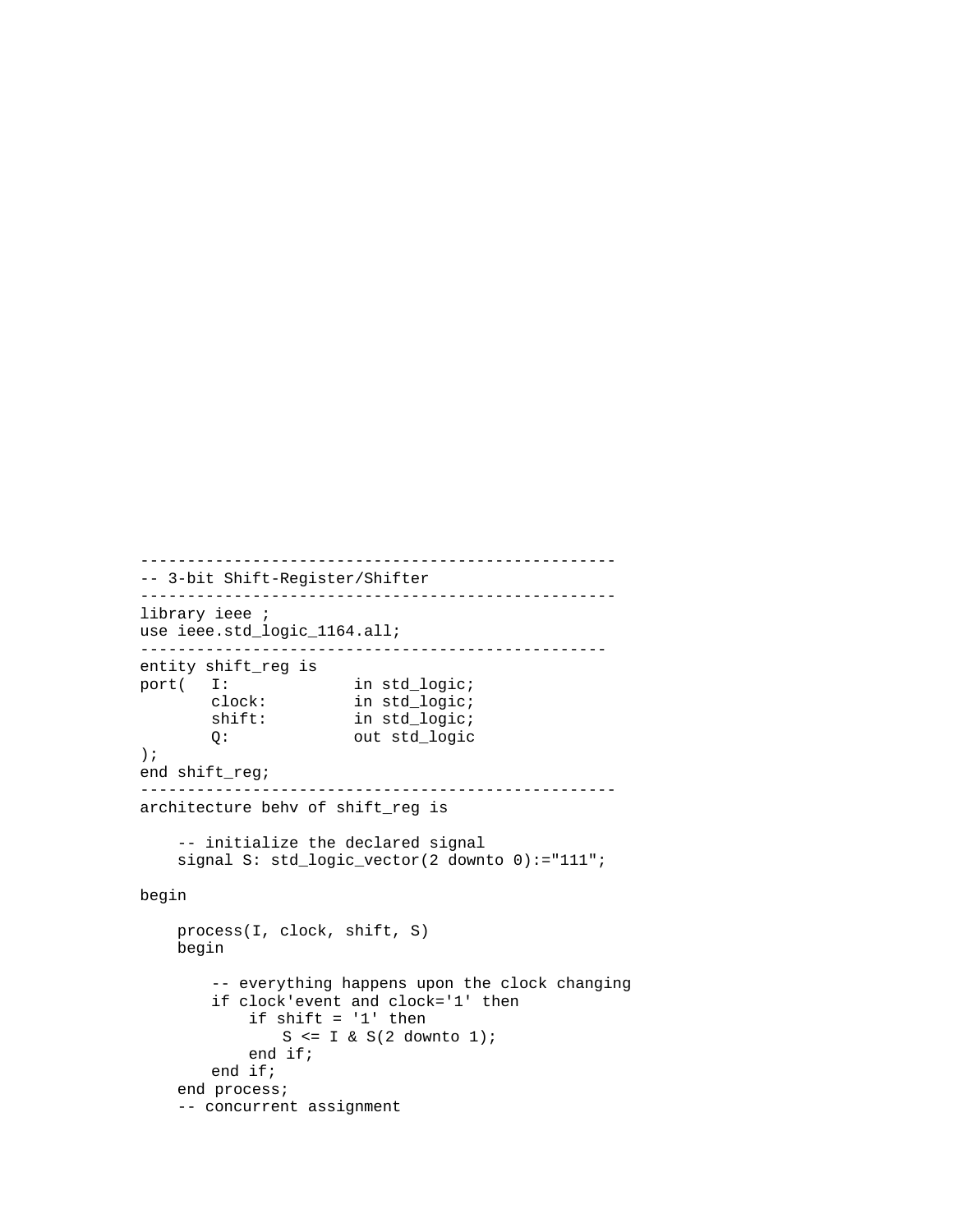```
--------------------------------------------------- 
-- 3-bit Shift-Register/Shifter 
--------------------------------------------------- 
library ieee ; 
use ieee.std_logic_1164.all; 
-------------------------------------------------- 
entity shift_reg is 
port( I: in std_logic;
        clock: in std_logic; 
        shift: in std_logic; 
        Q: out std_logic 
); 
end shift_reg; 
--------------------------------------------------- 
architecture behv of shift_reg is 
     -- initialize the declared signal 
     signal S: std_logic_vector(2 downto 0):="111"; 
begin 
    process(I, clock, shift, S) 
    begin 
         -- everything happens upon the clock changing 
        if clock'event and clock='1' then 
            if shift = '1' then 
               S \le I \& S(2 \text{ downto } 1); end if; 
        end if; 
    end process; 
     -- concurrent assignment
```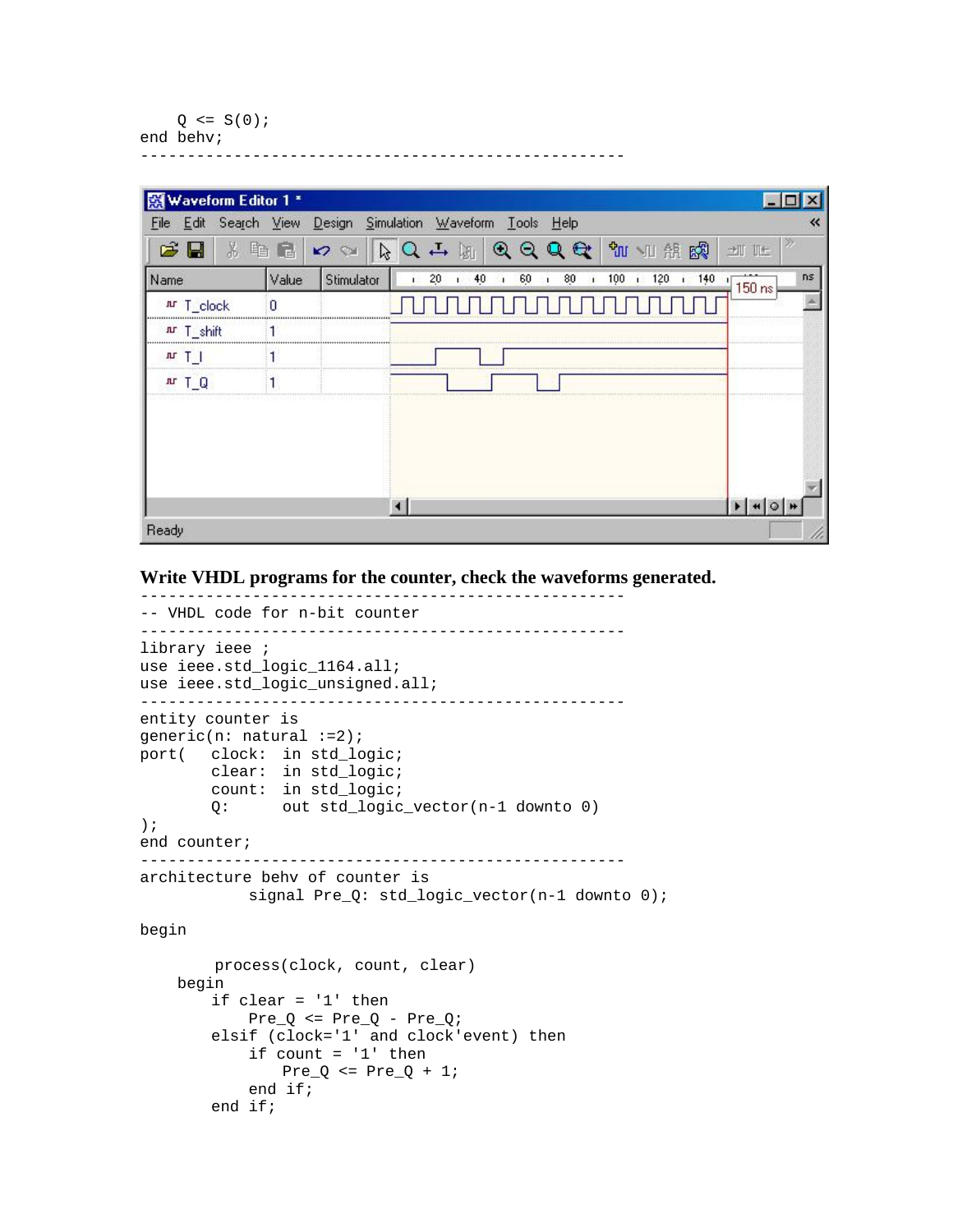```
Q \leq S(0);end behv;
```

| Waveform Editor 1 * |       |            |                                                                                                                            |                |
|---------------------|-------|------------|----------------------------------------------------------------------------------------------------------------------------|----------------|
| File                |       |            | Edit Search View Design Simulation Waveform Tools Help                                                                     | 巜              |
| <b>BB</b><br>X.     | 临危    | 29         | $RQ \rightarrow M$<br><b>如</b> 如 熊<br>QQQQ<br>圈                                                                            | ≫<br>+II IIt   |
| Name                | Value | Stimulator | 120<br>140<br>20 <sub>2</sub><br>40<br>60<br>80<br>100<br>$\mathbf{I}$<br>ï.<br>$\mathbf{1}$<br>$\mathbf{I}$<br>$\ddot{1}$ | ns<br>$150$ ns |
| Ar T_clock          |       |            |                                                                                                                            |                |
| nr T_shift          |       |            |                                                                                                                            |                |
| $n + 1$             |       |            |                                                                                                                            |                |
| m I O               |       |            |                                                                                                                            |                |
|                     |       |            |                                                                                                                            |                |
|                     |       |            |                                                                                                                            |                |
|                     |       |            |                                                                                                                            |                |
|                     |       |            |                                                                                                                            |                |
|                     |       |            |                                                                                                                            |                |
| Ready               |       |            |                                                                                                                            |                |

**Write VHDL programs for the counter, check the waveforms generated.** 

----------------------------------------------------

----------------------------------------------------

```
-- VHDL code for n-bit counter 
---------------------------------------------------- 
library ieee ; 
use ieee.std_logic_1164.all; 
use ieee.std_logic_unsigned.all; 
---------------------------------------------------- 
entity counter is 
generic(n: natural :=2); 
port( clock: in std_logic; 
 clear: in std_logic; 
        count: in std_logic; 
        Q: out std_logic_vector(n-1 downto 0) 
); 
end counter; 
---------------------------------------------------- 
architecture behv of counter is 
             signal Pre_Q: std_logic_vector(n-1 downto 0); 
begin 
         process(clock, count, clear) 
     begin 
         if clear = '1' then 
            Pre_Q \le Pre_Q - Pre_Q; elsif (clock='1' and clock'event) then 
            if count = '1' then
               Pre_Q \le Pre_Q + 1; end if; 
         end if;
```